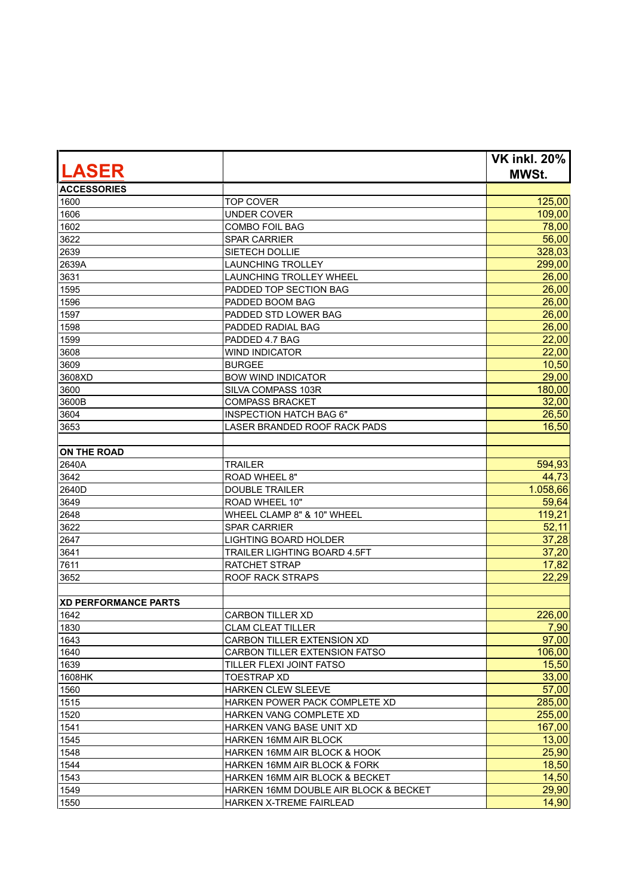| <b>LASER</b>                |                                         | <b>VK inkl. 20%</b><br><b>MWSt.</b> |
|-----------------------------|-----------------------------------------|-------------------------------------|
| <b>ACCESSORIES</b>          |                                         |                                     |
| 1600                        | <b>TOP COVER</b>                        | 125,00                              |
| 1606                        | <b>UNDER COVER</b>                      | 109,00                              |
| 1602                        | <b>COMBO FOIL BAG</b>                   | 78,00                               |
| 3622                        | <b>SPAR CARRIER</b>                     | 56,00                               |
| 2639                        | SIETECH DOLLIE                          | 328,03                              |
| 2639A                       | <b>LAUNCHING TROLLEY</b>                | 299,00                              |
| 3631                        | LAUNCHING TROLLEY WHEEL                 | 26,00                               |
| 1595                        | PADDED TOP SECTION BAG                  | 26,00                               |
| 1596                        | PADDED BOOM BAG                         | 26,00                               |
| 1597                        | PADDED STD LOWER BAG                    | 26,00                               |
| 1598                        | PADDED RADIAL BAG                       | 26,00                               |
| 1599                        | PADDED 4.7 BAG                          | 22,00                               |
| 3608                        | <b>WIND INDICATOR</b>                   | 22,00                               |
| 3609                        | <b>BURGEE</b>                           | 10,50                               |
| 3608XD                      | <b>BOW WIND INDICATOR</b>               | 29,00                               |
| 3600                        | SILVA COMPASS 103R                      | 180,00                              |
| 3600B                       | <b>COMPASS BRACKET</b>                  | 32,00                               |
| 3604                        | <b>INSPECTION HATCH BAG 6"</b>          | 26,50                               |
| 3653                        | LASER BRANDED ROOF RACK PADS            | 16,50                               |
|                             |                                         |                                     |
| <b>ON THE ROAD</b>          |                                         |                                     |
| 2640A                       | <b>TRAILER</b>                          | 594,93                              |
| 3642                        | ROAD WHEEL 8"                           | 44,73                               |
| 2640D                       | <b>DOUBLE TRAILER</b>                   | 1.058,66                            |
| 3649                        | ROAD WHEEL 10"                          | 59,64                               |
| 2648                        | WHEEL CLAMP 8" & 10" WHEEL              | 119,21                              |
| 3622                        | <b>SPAR CARRIER</b>                     | 52,11                               |
| 2647                        | <b>LIGHTING BOARD HOLDER</b>            | 37,28                               |
| 3641                        | <b>TRAILER LIGHTING BOARD 4.5FT</b>     | 37,20                               |
| 7611                        | RATCHET STRAP                           | 17,82                               |
| 3652                        | <b>ROOF RACK STRAPS</b>                 | 22,29                               |
|                             |                                         |                                     |
| <b>XD PERFORMANCE PARTS</b> |                                         |                                     |
| 1642                        | <b>CARBON TILLER XD</b>                 | 226,00                              |
| 1830                        | <b>CLAM CLEAT TILLER</b>                | 7,90                                |
| 1643                        | CARBON TILLER EXTENSION XD              | 97,00                               |
| 1640                        | <b>CARBON TILLER EXTENSION FATSO</b>    | 106,00                              |
| 1639                        | TILLER FLEXI JOINT FATSO                | 15,50                               |
| 1608HK                      | <b>TOESTRAP XD</b>                      | 33,00                               |
| 1560                        | HARKEN CLEW SLEEVE                      | 57,00                               |
| 1515                        | HARKEN POWER PACK COMPLETE XD           | 285,00                              |
| 1520                        | HARKEN VANG COMPLETE XD                 | 255,00                              |
| 1541                        | HARKEN VANG BASE UNIT XD                | 167,00                              |
| 1545                        | HARKEN 16MM AIR BLOCK                   | 13,00                               |
| 1548                        | HARKEN 16MM AIR BLOCK & HOOK            | 25,90                               |
| 1544                        | <b>HARKEN 16MM AIR BLOCK &amp; FORK</b> | 18,50                               |
| 1543                        | HARKEN 16MM AIR BLOCK & BECKET          | 14,50                               |
| 1549                        | HARKEN 16MM DOUBLE AIR BLOCK & BECKET   | 29,90                               |
| 1550                        | HARKEN X-TREME FAIRLEAD                 | 14,90                               |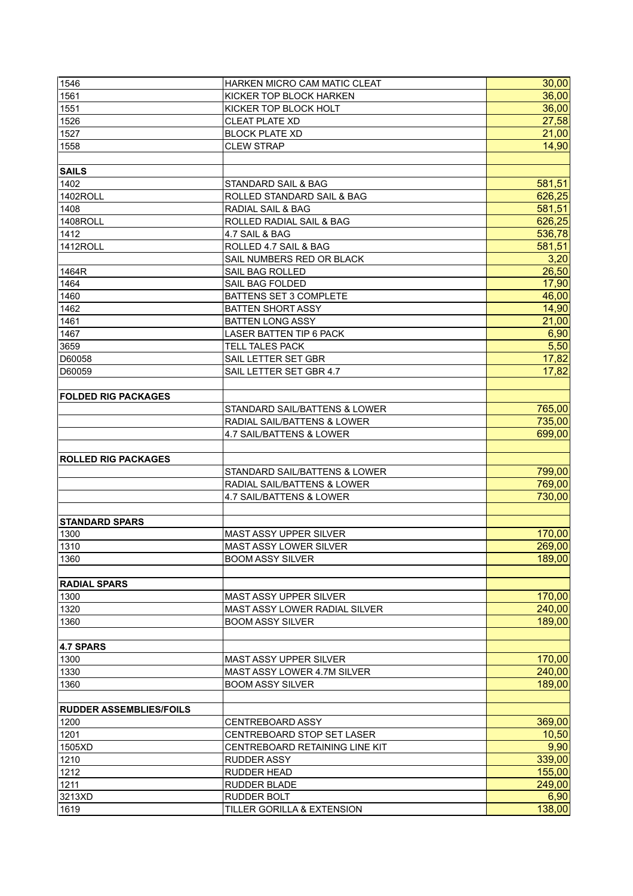| 1546                           | HARKEN MICRO CAM MATIC CLEAT      | 30,00  |
|--------------------------------|-----------------------------------|--------|
| 1561                           | KICKER TOP BLOCK HARKEN           | 36,00  |
| 1551                           | KICKER TOP BLOCK HOLT             | 36,00  |
| 1526                           | <b>CLEAT PLATE XD</b>             | 27,58  |
| 1527                           | <b>BLOCK PLATE XD</b>             | 21,00  |
| 1558                           | <b>CLEW STRAP</b>                 | 14,90  |
|                                |                                   |        |
| <b>SAILS</b>                   |                                   |        |
| 1402                           | STANDARD SAIL & BAG               | 581,51 |
| 1402ROLL                       | ROLLED STANDARD SAIL & BAG        | 626,25 |
| 1408                           | <b>RADIAL SAIL &amp; BAG</b>      | 581,51 |
| 1408ROLL                       | ROLLED RADIAL SAIL & BAG          | 626,25 |
| 1412                           | 4.7 SAIL & BAG                    | 536,78 |
| 1412ROLL                       | ROLLED 4.7 SAIL & BAG             | 581,51 |
|                                | SAIL NUMBERS RED OR BLACK         | 3,20   |
| 1464R                          | SAIL BAG ROLLED                   | 26,50  |
| 1464                           | SAIL BAG FOLDED                   | 17,90  |
| 1460                           | BATTENS SET 3 COMPLETE            | 46,00  |
| 1462                           | <b>BATTEN SHORT ASSY</b>          | 14,90  |
| 1461                           | <b>BATTEN LONG ASSY</b>           | 21,00  |
| 1467                           | LASER BATTEN TIP 6 PACK           | 6,90   |
| 3659                           | <b>TELL TALES PACK</b>            | 5,50   |
| D60058                         | SAIL LETTER SET GBR               | 17,82  |
|                                |                                   | 17,82  |
| D60059                         | SAIL LETTER SET GBR 4.7           |        |
|                                |                                   |        |
| <b>FOLDED RIG PACKAGES</b>     |                                   |        |
|                                | STANDARD SAIL/BATTENS & LOWER     | 765,00 |
|                                | RADIAL SAIL/BATTENS & LOWER       | 735,00 |
|                                | 4.7 SAIL/BATTENS & LOWER          | 699,00 |
|                                |                                   |        |
| <b>ROLLED RIG PACKAGES</b>     |                                   |        |
|                                | STANDARD SAIL/BATTENS & LOWER     | 799,00 |
|                                | RADIAL SAIL/BATTENS & LOWER       | 769,00 |
|                                | 4.7 SAIL/BATTENS & LOWER          | 730,00 |
|                                |                                   |        |
| <b>STANDARD SPARS</b>          |                                   |        |
| 1300                           | MAST ASSY UPPER SILVER            | 170,00 |
| 1310                           | MAST ASSY LOWER SILVER            | 269,00 |
| 1360                           | <b>BOOM ASSY SILVER</b>           | 189,00 |
|                                |                                   |        |
| <b>RADIAL SPARS</b>            |                                   |        |
| 1300                           | <b>MAST ASSY UPPER SILVER</b>     | 170,00 |
| 1320                           | MAST ASSY LOWER RADIAL SILVER     | 240,00 |
| 1360                           | <b>BOOM ASSY SILVER</b>           | 189,00 |
|                                |                                   |        |
| 4.7 SPARS                      |                                   |        |
| 1300                           | <b>MAST ASSY UPPER SILVER</b>     | 170,00 |
| 1330                           | MAST ASSY LOWER 4.7M SILVER       | 240,00 |
| 1360                           | <b>BOOM ASSY SILVER</b>           | 189,00 |
|                                |                                   |        |
| <b>RUDDER ASSEMBLIES/FOILS</b> |                                   |        |
| 1200                           | <b>CENTREBOARD ASSY</b>           | 369,00 |
| 1201                           | <b>CENTREBOARD STOP SET LASER</b> | 10,50  |
| 1505XD                         | CENTREBOARD RETAINING LINE KIT    | 9,90   |
| 1210                           | <b>RUDDER ASSY</b>                | 339,00 |
| 1212                           | RUDDER HEAD                       | 155,00 |
| 1211                           | <b>RUDDER BLADE</b>               | 249,00 |
| 3213XD                         | RUDDER BOLT                       | 6,90   |
| 1619                           | TILLER GORILLA & EXTENSION        | 138,00 |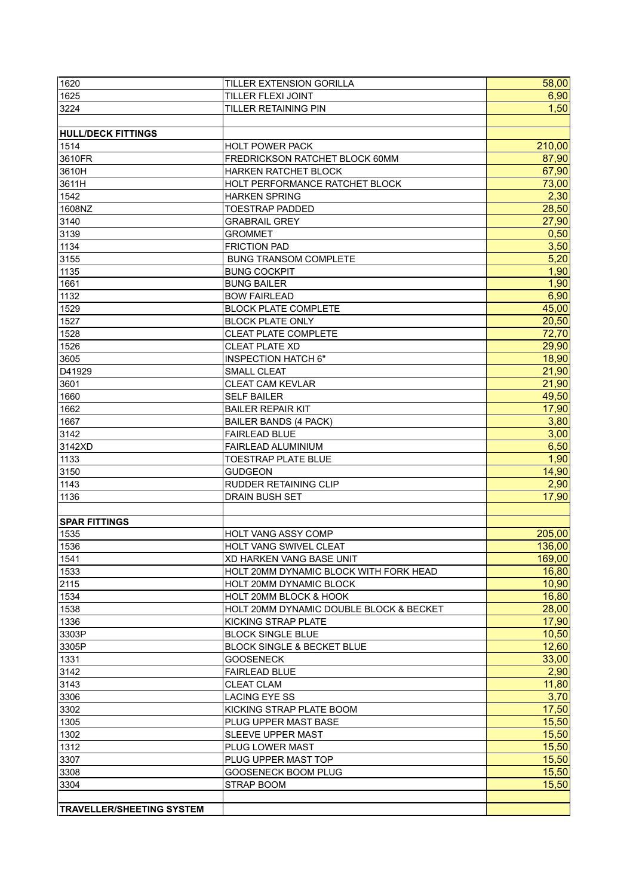| 1620                             | <b>TILLER EXTENSION GORILLA</b>         | 58,00  |
|----------------------------------|-----------------------------------------|--------|
| 1625                             | TILLER FLEXI JOINT                      | 6,90   |
| 3224                             | <b>TILLER RETAINING PIN</b>             | 1,50   |
|                                  |                                         |        |
| <b>HULL/DECK FITTINGS</b>        |                                         |        |
| 1514                             | <b>HOLT POWER PACK</b>                  | 210,00 |
| 3610FR                           | FREDRICKSON RATCHET BLOCK 60MM          | 87,90  |
| 3610H                            | HARKEN RATCHET BLOCK                    | 67,90  |
| 3611H                            | HOLT PERFORMANCE RATCHET BLOCK          | 73,00  |
| 1542                             | <b>HARKEN SPRING</b>                    | 2,30   |
| 1608NZ                           |                                         | 28,50  |
|                                  | <b>TOESTRAP PADDED</b>                  |        |
| 3140                             | <b>GRABRAIL GREY</b>                    | 27,90  |
| 3139                             | <b>GROMMET</b>                          | 0,50   |
| 1134                             | <b>FRICTION PAD</b>                     | 3,50   |
| 3155                             | <b>BUNG TRANSOM COMPLETE</b>            | 5,20   |
| 1135                             | <b>BUNG COCKPIT</b>                     | 1,90   |
| 1661                             | <b>BUNG BAILER</b>                      | 1,90   |
| 1132                             | <b>BOW FAIRLEAD</b>                     | 6,90   |
| 1529                             | <b>BLOCK PLATE COMPLETE</b>             | 45,00  |
| 1527                             | <b>BLOCK PLATE ONLY</b>                 | 20,50  |
| 1528                             | <b>CLEAT PLATE COMPLETE</b>             | 72,70  |
| 1526                             | <b>CLEAT PLATE XD</b>                   | 29,90  |
| 3605                             | <b>INSPECTION HATCH 6"</b>              | 18,90  |
| D41929                           | SMALL CLEAT                             | 21,90  |
| 3601                             | <b>CLEAT CAM KEVLAR</b>                 | 21,90  |
| 1660                             | <b>SELF BAILER</b>                      | 49,50  |
| 1662                             | <b>BAILER REPAIR KIT</b>                | 17,90  |
| 1667                             | <b>BAILER BANDS (4 PACK)</b>            | 3,80   |
| 3142                             | <b>FAIRLEAD BLUE</b>                    | 3,00   |
| 3142XD                           | FAIRLEAD ALUMINIUM                      | 6,50   |
| 1133                             | <b>TOESTRAP PLATE BLUE</b>              | 1,90   |
| 3150                             | <b>GUDGEON</b>                          | 14,90  |
| 1143                             | RUDDER RETAINING CLIP                   | 2,90   |
| 1136                             | <b>DRAIN BUSH SET</b>                   | 17,90  |
|                                  |                                         |        |
| <b>SPAR FITTINGS</b>             |                                         |        |
| 1535                             | <b>HOLT VANG ASSY COMP</b>              | 205,00 |
| 1536                             | HOLT VANG SWIVEL CLEAT                  | 136,00 |
|                                  |                                         | 169,00 |
| 1541                             | <b>XD HARKEN VANG BASE UNIT</b>         |        |
| 1533                             | HOLT 20MM DYNAMIC BLOCK WITH FORK HEAD  | 16,80  |
| 2115                             | HOLT 20MM DYNAMIC BLOCK                 | 10,90  |
| 1534                             | HOLT 20MM BLOCK & HOOK                  | 16,80  |
| 1538                             | HOLT 20MM DYNAMIC DOUBLE BLOCK & BECKET | 28,00  |
| 1336                             | KICKING STRAP PLATE                     | 17,90  |
| 3303P                            | <b>BLOCK SINGLE BLUE</b>                | 10,50  |
| 3305P                            | <b>BLOCK SINGLE &amp; BECKET BLUE</b>   | 12,60  |
| 1331                             | <b>GOOSENECK</b>                        | 33,00  |
| 3142                             | <b>FAIRLEAD BLUE</b>                    | 2,90   |
| 3143                             | <b>CLEAT CLAM</b>                       | 11,80  |
| 3306                             | <b>LACING EYE SS</b>                    | 3,70   |
| 3302                             | KICKING STRAP PLATE BOOM                | 17,50  |
| 1305                             | PLUG UPPER MAST BASE                    | 15,50  |
| 1302                             | <b>SLEEVE UPPER MAST</b>                | 15,50  |
| 1312                             | PLUG LOWER MAST                         | 15,50  |
| 3307                             | PLUG UPPER MAST TOP                     | 15,50  |
| 3308                             | GOOSENECK BOOM PLUG                     | 15,50  |
| 3304                             | STRAP BOOM                              | 15,50  |
|                                  |                                         |        |
| <b>TRAVELLER/SHEETING SYSTEM</b> |                                         |        |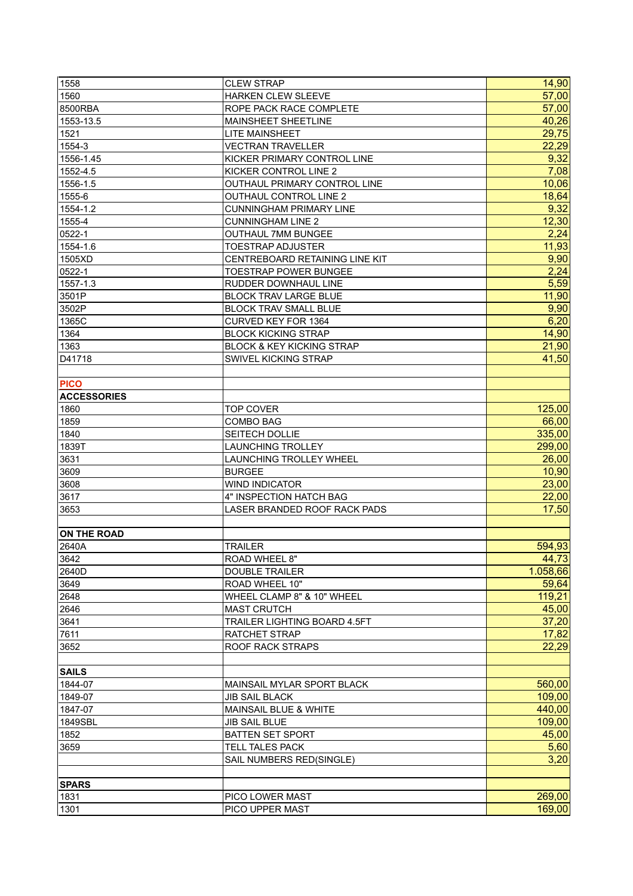| 1558               | <b>CLEW STRAP</b>                    | 14,90    |
|--------------------|--------------------------------------|----------|
| 1560               | <b>HARKEN CLEW SLEEVE</b>            | 57,00    |
| 8500RBA            | ROPE PACK RACE COMPLETE              | 57,00    |
| 1553-13.5          | <b>MAINSHEET SHEETLINE</b>           | 40,26    |
| 1521               | <b>LITE MAINSHEET</b>                | 29,75    |
| 1554-3             | <b>VECTRAN TRAVELLER</b>             | 22,29    |
| 1556-1.45          | KICKER PRIMARY CONTROL LINE          | 9,32     |
| 1552-4.5           | KICKER CONTROL LINE 2                | 7,08     |
| 1556-1.5           | OUTHAUL PRIMARY CONTROL LINE         | 10,06    |
| 1555-6             | OUTHAUL CONTROL LINE 2               | 18,64    |
| 1554-1.2           | <b>CUNNINGHAM PRIMARY LINE</b>       | 9,32     |
| 1555-4             | <b>CUNNINGHAM LINE 2</b>             | 12,30    |
| 0522-1             | <b>OUTHAUL 7MM BUNGEE</b>            | 2,24     |
| 1554-1.6           | <b>TOESTRAP ADJUSTER</b>             | 11,93    |
| 1505XD             | CENTREBOARD RETAINING LINE KIT       | 9,90     |
| 0522-1             | <b>TOESTRAP POWER BUNGEE</b>         | 2,24     |
| 1557-1.3           | RUDDER DOWNHAUL LINE                 | 5,59     |
| 3501P              | <b>BLOCK TRAV LARGE BLUE</b>         | 11,90    |
| 3502P              | <b>BLOCK TRAV SMALL BLUE</b>         | 9,90     |
| 1365C              | <b>CURVED KEY FOR 1364</b>           | 6,20     |
| 1364               | <b>BLOCK KICKING STRAP</b>           | 14,90    |
| 1363               | <b>BLOCK &amp; KEY KICKING STRAP</b> | 21,90    |
| D41718             | SWIVEL KICKING STRAP                 | 41,50    |
|                    |                                      |          |
| <b>PICO</b>        |                                      |          |
| <b>ACCESSORIES</b> |                                      |          |
| 1860               | <b>TOP COVER</b>                     | 125,00   |
| 1859               | <b>COMBO BAG</b>                     | 66,00    |
| 1840               | SEITECH DOLLIE                       | 335,00   |
| 1839T              | <b>LAUNCHING TROLLEY</b>             | 299,00   |
| 3631               | LAUNCHING TROLLEY WHEEL              | 26,00    |
| 3609               | <b>BURGEE</b>                        | 10,90    |
| 3608               | <b>WIND INDICATOR</b>                | 23,00    |
| 3617               | 4" INSPECTION HATCH BAG              | 22,00    |
| 3653               | LASER BRANDED ROOF RACK PADS         | 17,50    |
|                    |                                      |          |
| <b>ON THE ROAD</b> |                                      |          |
| 2640A              | <b>TRAILER</b>                       | 594,93   |
| 3642               | ROAD WHEEL 8"                        | 44,73    |
| 2640D              | <b>DOUBLE TRAILER</b>                | 1.058,66 |
| 3649               | ROAD WHEEL 10"                       | 59,64    |
| 2648               | WHEEL CLAMP 8" & 10" WHEEL           | 119,21   |
| 2646               | <b>MAST CRUTCH</b>                   | 45,00    |
| 3641               | TRAILER LIGHTING BOARD 4.5FT         | 37,20    |
| 7611               | RATCHET STRAP                        | 17,82    |
| 3652               | <b>ROOF RACK STRAPS</b>              | 22,29    |
|                    |                                      |          |
| <b>SAILS</b>       |                                      |          |
| 1844-07            | MAINSAIL MYLAR SPORT BLACK           | 560,00   |
| 1849-07            | <b>JIB SAIL BLACK</b>                | 109,00   |
| 1847-07            | MAINSAIL BLUE & WHITE                | 440,00   |
| 1849SBL            | <b>JIB SAIL BLUE</b>                 | 109,00   |
| 1852               | <b>BATTEN SET SPORT</b>              | 45,00    |
| 3659               | <b>TELL TALES PACK</b>               | 5,60     |
|                    | SAIL NUMBERS RED(SINGLE)             | 3,20     |
|                    |                                      |          |
| <b>SPARS</b>       |                                      |          |
| 1831               | PICO LOWER MAST                      | 269,00   |
| 1301               | PICO UPPER MAST                      | 169,00   |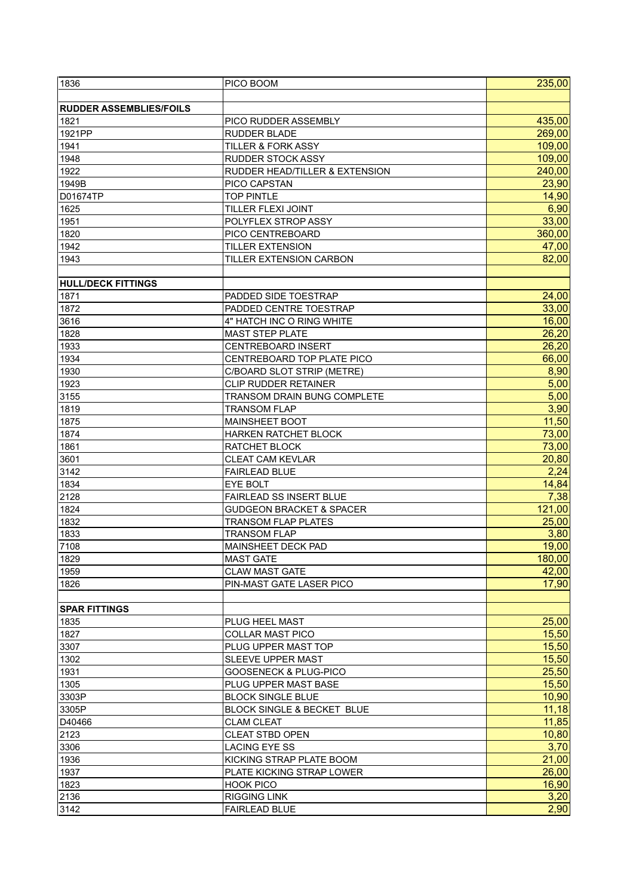| 1836                           | PICO BOOM                             | 235,00            |
|--------------------------------|---------------------------------------|-------------------|
|                                |                                       |                   |
| <b>RUDDER ASSEMBLIES/FOILS</b> |                                       |                   |
| 1821                           | PICO RUDDER ASSEMBLY                  | 435,00            |
| 1921PP                         | RUDDER BLADE                          | 269,00            |
| 1941                           | <b>TILLER &amp; FORK ASSY</b>         | 109,00            |
| 1948                           | <b>RUDDER STOCK ASSY</b>              | 109,00            |
|                                |                                       | 240,00            |
| 1922                           | RUDDER HEAD/TILLER & EXTENSION        |                   |
| 1949B                          | PICO CAPSTAN                          | 23,90             |
| D01674TP                       | <b>TOP PINTLE</b>                     | 14,90             |
| 1625                           | TILLER FLEXI JOINT                    | 6,90              |
| 1951                           | POLYFLEX STROP ASSY                   | 33,00             |
| 1820                           | PICO CENTREBOARD                      | 360,00            |
| 1942                           | <b>TILLER EXTENSION</b>               | 47,00             |
| 1943                           | TILLER EXTENSION CARBON               | 82,00             |
|                                |                                       |                   |
| <b>HULL/DECK FITTINGS</b>      |                                       |                   |
| 1871                           | PADDED SIDE TOESTRAP                  | 24,00             |
| 1872                           | PADDED CENTRE TOESTRAP                | 33,00             |
| 3616                           | 4" HATCH INC O RING WHITE             | 16,00             |
| 1828                           | <b>MAST STEP PLATE</b>                | 26,20             |
| 1933                           | <b>CENTREBOARD INSERT</b>             | 26,20             |
| 1934                           | CENTREBOARD TOP PLATE PICO            | 66,00             |
| 1930                           | C/BOARD SLOT STRIP (METRE)            | 8,90              |
| 1923                           | <b>CLIP RUDDER RETAINER</b>           | 5,00              |
| 3155                           | TRANSOM DRAIN BUNG COMPLETE           | 5,00              |
| 1819                           | <b>TRANSOM FLAP</b>                   | $\overline{3,90}$ |
| 1875                           | <b>MAINSHEET BOOT</b>                 | 11,50             |
|                                |                                       |                   |
| 1874                           | <b>HARKEN RATCHET BLOCK</b>           | 73,00             |
| 1861                           | RATCHET BLOCK                         | 73,00             |
| 3601                           | <b>CLEAT CAM KEVLAR</b>               | 20,80             |
| 3142                           | <b>FAIRLEAD BLUE</b>                  | 2,24              |
| 1834                           | EYE BOLT                              | 14,84             |
| 2128                           | FAIRLEAD SS INSERT BLUE               | 7,38              |
| 1824                           | <b>GUDGEON BRACKET &amp; SPACER</b>   | 121,00            |
| 1832                           | <b>TRANSOM FLAP PLATES</b>            | 25,00             |
| 1833                           | <b>TRANSOM FLAP</b>                   | 3,80              |
| 7108                           | MAINSHEET DECK PAD                    | 19,00             |
| 1829                           | <b>MAST GATE</b>                      | 180,00            |
| 1959                           | <b>CLAW MAST GATE</b>                 | 42,00             |
| 1826                           | PIN-MAST GATE LASER PICO              | 17,90             |
|                                |                                       |                   |
| <b>SPAR FITTINGS</b>           |                                       |                   |
| 1835                           | PLUG HEEL MAST                        | 25,00             |
| 1827                           | <b>COLLAR MAST PICO</b>               | 15,50             |
| 3307                           | PLUG UPPER MAST TOP                   | 15,50             |
| 1302                           | <b>SLEEVE UPPER MAST</b>              | 15,50             |
| 1931                           | <b>GOOSENECK &amp; PLUG-PICO</b>      | 25,50             |
| 1305                           | PLUG UPPER MAST BASE                  | 15,50             |
| 3303P                          | <b>BLOCK SINGLE BLUE</b>              | 10,90             |
|                                |                                       |                   |
| 3305P                          | <b>BLOCK SINGLE &amp; BECKET BLUE</b> | 11,18             |
| D40466                         | <b>CLAM CLEAT</b>                     | 11,85             |
| 2123                           | <b>CLEAT STBD OPEN</b>                | 10,80             |
| 3306                           | <b>LACING EYE SS</b>                  | 3,70              |
| 1936                           | KICKING STRAP PLATE BOOM              | 21,00             |
| 1937                           | <b>PLATE KICKING STRAP LOWER</b>      | 26,00             |
| 1823                           | <b>HOOK PICO</b>                      | 16,90             |
| 2136                           | <b>RIGGING LINK</b>                   | 3,20              |
| 3142                           | FAIRLEAD BLUE                         | 2,90              |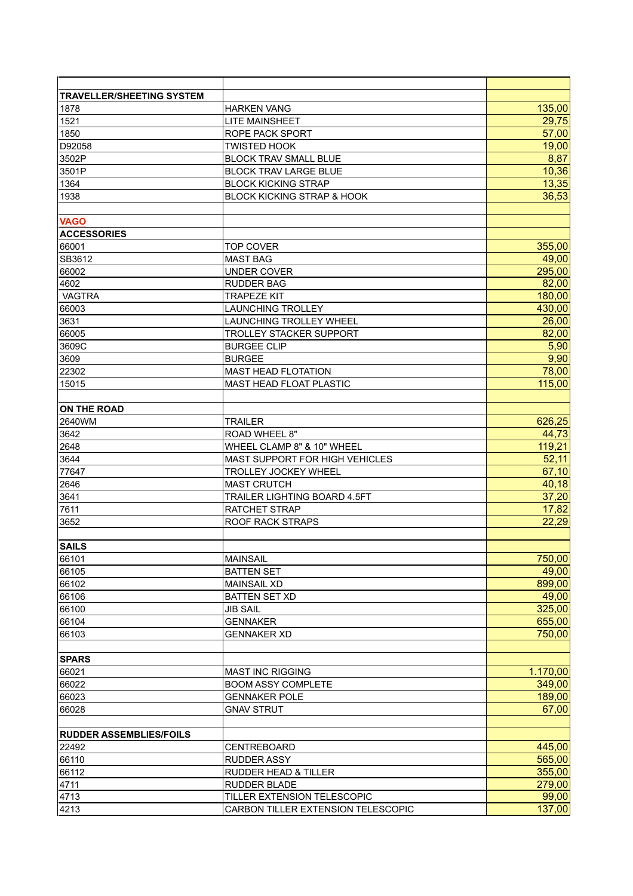| <b>TRAVELLER/SHEETING SYSTEM</b>  |                                       |                 |
|-----------------------------------|---------------------------------------|-----------------|
| 1878                              | <b>HARKEN VANG</b>                    | 135,00          |
| 1521                              | <b>LITE MAINSHEET</b>                 | 29,75           |
| 1850                              | <b>ROPE PACK SPORT</b>                | 57,00           |
| D92058                            | <b>TWISTED HOOK</b>                   | 19,00           |
| 3502P                             | <b>BLOCK TRAV SMALL BLUE</b>          | 8,87            |
| 3501P                             | <b>BLOCK TRAV LARGE BLUE</b>          | 10,36           |
| 1364                              | <b>BLOCK KICKING STRAP</b>            | 13,35           |
| 1938                              | <b>BLOCK KICKING STRAP &amp; HOOK</b> | 36,53           |
|                                   |                                       |                 |
| <b>VAGO</b><br><b>ACCESSORIES</b> |                                       |                 |
| 66001                             |                                       |                 |
| SB3612                            | <b>TOP COVER</b><br><b>MAST BAG</b>   | 355,00<br>49,00 |
|                                   |                                       |                 |
| 66002                             | UNDER COVER                           | 295,00          |
| 4602                              | RUDDER BAG                            | 82,00           |
| <b>VAGTRA</b>                     | <b>TRAPEZE KIT</b>                    | 180,00          |
| 66003                             | <b>LAUNCHING TROLLEY</b>              | 430,00          |
| 3631                              | LAUNCHING TROLLEY WHEEL               | 26,00           |
| 66005                             | <b>TROLLEY STACKER SUPPORT</b>        | 82,00           |
| 3609C                             | <b>BURGEE CLIP</b>                    | 5,90            |
| 3609                              | <b>BURGEE</b>                         | 9,90            |
| 22302                             | <b>MAST HEAD FLOTATION</b>            | 78,00           |
| 15015                             | <b>MAST HEAD FLOAT PLASTIC</b>        | 115,00          |
| <b>ON THE ROAD</b>                |                                       |                 |
| 2640WM                            | <b>TRAILER</b>                        | 626,25          |
| 3642                              | ROAD WHEEL 8"                         | 44,73           |
| 2648                              | WHEEL CLAMP 8" & 10" WHEEL            | 119,21          |
| 3644                              | MAST SUPPORT FOR HIGH VEHICLES        | 52,11           |
| 77647                             | <b>TROLLEY JOCKEY WHEEL</b>           | 67,10           |
| 2646                              | <b>MAST CRUTCH</b>                    | 40,18           |
| 3641                              | <b>TRAILER LIGHTING BOARD 4.5FT</b>   | 37,20           |
| 7611                              | <b>RATCHET STRAP</b>                  | 17,82           |
| 3652                              | <b>ROOF RACK STRAPS</b>               | 22,29           |
|                                   |                                       |                 |
| <b>SAILS</b>                      |                                       |                 |
| 66101                             | <b>MAINSAIL</b>                       | 750,00          |
| 66105                             | <b>BATTEN SET</b>                     | 49,00           |
| 66102                             | <b>MAINSAIL XD</b>                    | 899,00          |
| 66106                             | <b>BATTEN SET XD</b>                  | 49,00           |
| 66100                             | <b>JIB SAIL</b>                       | 325,00          |
| 66104                             | <b>GENNAKER</b>                       | 655,00          |
| 66103                             | <b>GENNAKER XD</b>                    | 750,00          |
|                                   |                                       |                 |
| <b>SPARS</b>                      |                                       |                 |
| 66021                             | <b>MAST INC RIGGING</b>               | 1.170,00        |
| 66022                             | <b>BOOM ASSY COMPLETE</b>             | 349,00          |
| 66023                             | <b>GENNAKER POLE</b>                  | 189,00          |
| 66028                             | <b>GNAV STRUT</b>                     | 67,00           |
| <b>RUDDER ASSEMBLIES/FOILS</b>    |                                       |                 |
| 22492                             | CENTREBOARD                           | 445,00          |
| 66110                             | <b>RUDDER ASSY</b>                    | 565,00          |
| 66112                             | <b>RUDDER HEAD &amp; TILLER</b>       | 355,00          |
| 4711                              | RUDDER BLADE                          | 279,00          |
| 4713                              | TILLER EXTENSION TELESCOPIC           | 99,00           |
| 4213                              | CARBON TILLER EXTENSION TELESCOPIC    | 137,00          |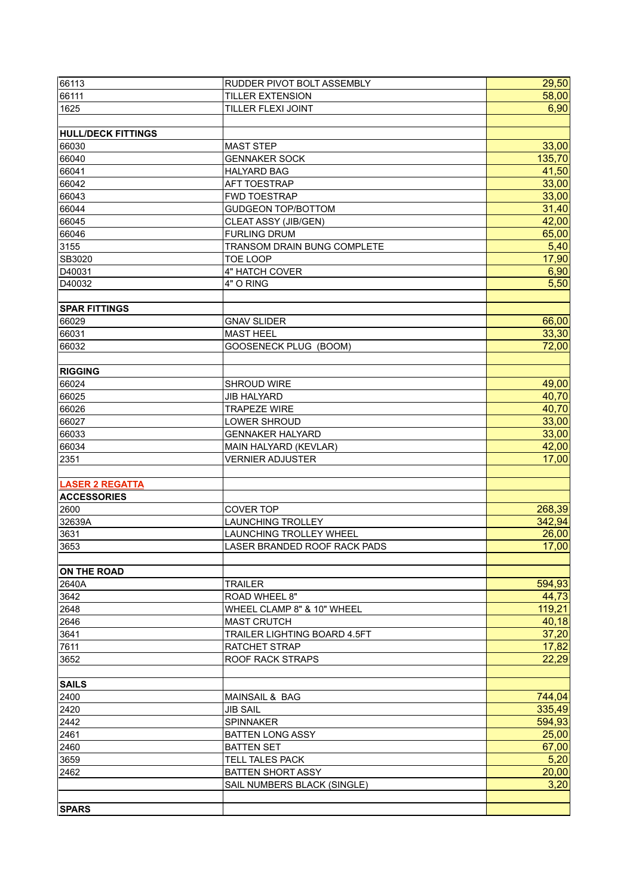| 66113                     | RUDDER PIVOT BOLT ASSEMBLY     | 29,50  |
|---------------------------|--------------------------------|--------|
| 66111                     | <b>TILLER EXTENSION</b>        | 58,00  |
| 1625                      | TILLER FLEXI JOINT             | 6,90   |
|                           |                                |        |
| <b>HULL/DECK FITTINGS</b> |                                |        |
| 66030                     | <b>MAST STEP</b>               | 33,00  |
| 66040                     | <b>GENNAKER SOCK</b>           | 135,70 |
| 66041                     | <b>HALYARD BAG</b>             | 41,50  |
| 66042                     | AFT TOESTRAP                   | 33,00  |
| 66043                     | FWD TOESTRAP                   | 33,00  |
| 66044                     | <b>GUDGEON TOP/BOTTOM</b>      | 31,40  |
| 66045                     | CLEAT ASSY (JIB/GEN)           | 42,00  |
| 66046                     | <b>FURLING DRUM</b>            | 65,00  |
| 3155                      | TRANSOM DRAIN BUNG COMPLETE    | 5,40   |
| SB3020                    | <b>TOE LOOP</b>                | 17,90  |
| D40031                    | 4" HATCH COVER                 | 6,90   |
| D40032                    | 4" O RING                      | 5,50   |
|                           |                                |        |
| <b>SPAR FITTINGS</b>      |                                |        |
| 66029                     | <b>GNAV SLIDER</b>             | 66,00  |
| 66031                     | <b>MAST HEEL</b>               | 33,30  |
| 66032                     | GOOSENECK PLUG (BOOM)          | 72,00  |
|                           |                                |        |
| <b>RIGGING</b>            |                                |        |
| 66024                     | SHROUD WIRE                    | 49,00  |
| 66025                     | <b>JIB HALYARD</b>             | 40,70  |
| 66026                     | <b>TRAPEZE WIRE</b>            | 40,70  |
| 66027                     | LOWER SHROUD                   | 33,00  |
| 66033                     | <b>GENNAKER HALYARD</b>        | 33,00  |
| 66034                     | MAIN HALYARD (KEVLAR)          | 42,00  |
| 2351                      | <b>VERNIER ADJUSTER</b>        | 17,00  |
|                           |                                |        |
| <b>LASER 2 REGATTA</b>    |                                |        |
| <b>ACCESSORIES</b>        |                                |        |
| 2600                      | COVER TOP                      | 268,39 |
| 32639A                    | <b>LAUNCHING TROLLEY</b>       | 342,94 |
| 3631                      | <b>LAUNCHING TROLLEY WHEEL</b> | 26,00  |
| 3653                      | LASER BRANDED ROOF RACK PADS   | 17,00  |
|                           |                                |        |
| <b>ON THE ROAD</b>        |                                |        |
| 2640A                     | <b>TRAILER</b>                 | 594,93 |
| 3642                      | ROAD WHEEL 8"                  | 44,73  |
| 2648                      | WHEEL CLAMP 8" & 10" WHEEL     | 119,21 |
| 2646                      | <b>MAST CRUTCH</b>             | 40,18  |
| 3641                      | TRAILER LIGHTING BOARD 4.5FT   | 37,20  |
| 7611                      | RATCHET STRAP                  | 17,82  |
| 3652                      | ROOF RACK STRAPS               | 22,29  |
|                           |                                |        |
| <b>SAILS</b><br>2400      | MAINSAIL & BAG                 | 744,04 |
| 2420                      | <b>JIB SAIL</b>                | 335,49 |
| 2442                      | SPINNAKER                      | 594,93 |
| 2461                      | <b>BATTEN LONG ASSY</b>        | 25,00  |
| 2460                      | <b>BATTEN SET</b>              | 67,00  |
| 3659                      | <b>TELL TALES PACK</b>         | 5,20   |
| 2462                      | <b>BATTEN SHORT ASSY</b>       | 20,00  |
|                           | SAIL NUMBERS BLACK (SINGLE)    | 3,20   |
|                           |                                |        |
| <b>SPARS</b>              |                                |        |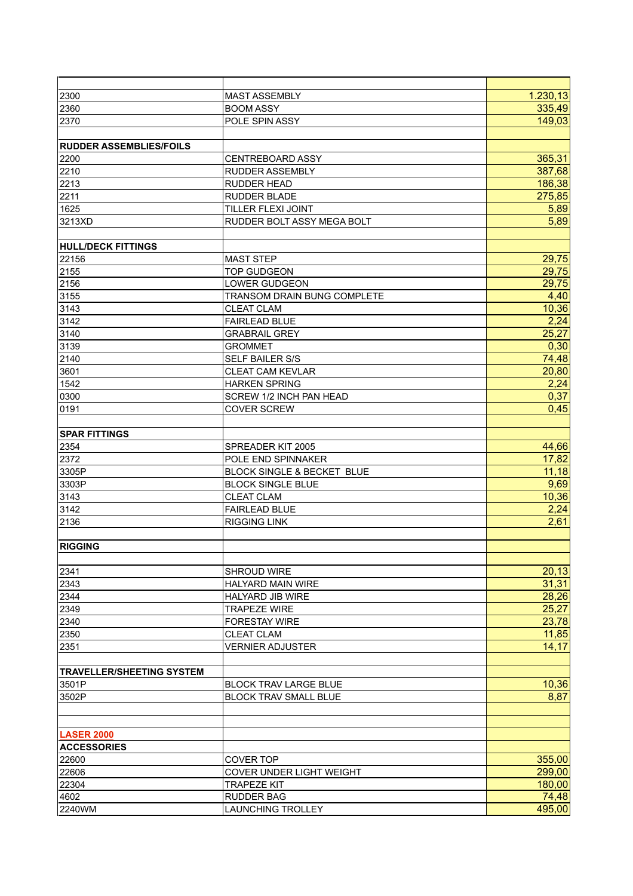| 2300                             | <b>MAST ASSEMBLY</b>            | 1.230, 13 |
|----------------------------------|---------------------------------|-----------|
| 2360                             | <b>BOOM ASSY</b>                | 335,49    |
| 2370                             | POLE SPIN ASSY                  | 149,03    |
|                                  |                                 |           |
| <b>RUDDER ASSEMBLIES/FOILS</b>   |                                 |           |
| 2200                             | <b>CENTREBOARD ASSY</b>         | 365,31    |
| 2210                             | <b>RUDDER ASSEMBLY</b>          | 387,68    |
| 2213                             | <b>RUDDER HEAD</b>              | 186,38    |
| 2211                             | <b>RUDDER BLADE</b>             | 275,85    |
| 1625                             | TILLER FLEXI JOINT              | 5,89      |
| 3213XD                           | RUDDER BOLT ASSY MEGA BOLT      | 5,89      |
|                                  |                                 |           |
| <b>HULL/DECK FITTINGS</b>        |                                 |           |
| 22156                            | <b>MAST STEP</b>                | 29,75     |
| 2155                             | <b>TOP GUDGEON</b>              | 29,75     |
| 2156                             | <b>LOWER GUDGEON</b>            | 29,75     |
| 3155                             | TRANSOM DRAIN BUNG COMPLETE     | 4,40      |
| 3143                             | <b>CLEAT CLAM</b>               | 10,36     |
| 3142                             | <b>FAIRLEAD BLUE</b>            | 2,24      |
| 3140                             | <b>GRABRAIL GREY</b>            | 25,27     |
| 3139                             | <b>GROMMET</b>                  | 0,30      |
| 2140                             | <b>SELF BAILER S/S</b>          | 74,48     |
| 3601                             | <b>CLEAT CAM KEVLAR</b>         | 20,80     |
| 1542                             | <b>HARKEN SPRING</b>            | 2,24      |
|                                  |                                 | 0,37      |
| 0300                             | SCREW 1/2 INCH PAN HEAD         |           |
| 0191                             | <b>COVER SCREW</b>              | 0,45      |
|                                  |                                 |           |
| <b>SPAR FITTINGS</b>             |                                 |           |
| 2354                             | SPREADER KIT 2005               | 44,66     |
| 2372                             | POLE END SPINNAKER              | 17,82     |
| 3305P                            | BLOCK SINGLE & BECKET BLUE      | 11,18     |
| 3303P                            | <b>BLOCK SINGLE BLUE</b>        | 9,69      |
| 3143                             | <b>CLEAT CLAM</b>               | 10,36     |
| 3142                             | <b>FAIRLEAD BLUE</b>            | 2,24      |
| 2136                             | <b>RIGGING LINK</b>             | 2,61      |
|                                  |                                 |           |
| <b>RIGGING</b>                   |                                 |           |
|                                  |                                 |           |
| 2341                             | <b>SHROUD WIRE</b>              | 20,13     |
| 2343                             | <b>HALYARD MAIN WIRE</b>        | 31,31     |
| 2344                             | <b>HALYARD JIB WIRE</b>         | 28,26     |
| 2349                             | <b>TRAPEZE WIRE</b>             | 25,27     |
| 2340                             | <b>FORESTAY WIRE</b>            | 23,78     |
| 2350                             | <b>CLEAT CLAM</b>               | 11,85     |
| 2351                             | <b>VERNIER ADJUSTER</b>         | 14,17     |
|                                  |                                 |           |
| <b>TRAVELLER/SHEETING SYSTEM</b> |                                 |           |
| 3501P                            | <b>BLOCK TRAV LARGE BLUE</b>    | 10,36     |
| 3502P                            | <b>BLOCK TRAV SMALL BLUE</b>    | 8,87      |
|                                  |                                 |           |
|                                  |                                 |           |
| <b>LASER 2000</b>                |                                 |           |
| <b>ACCESSORIES</b>               |                                 |           |
| 22600                            | <b>COVER TOP</b>                | 355,00    |
| 22606                            | <b>COVER UNDER LIGHT WEIGHT</b> | 299,00    |
| 22304                            | <b>TRAPEZE KIT</b>              | 180,00    |
| 4602                             | <b>RUDDER BAG</b>               | 74,48     |
| 2240WM                           | <b>LAUNCHING TROLLEY</b>        | 495,00    |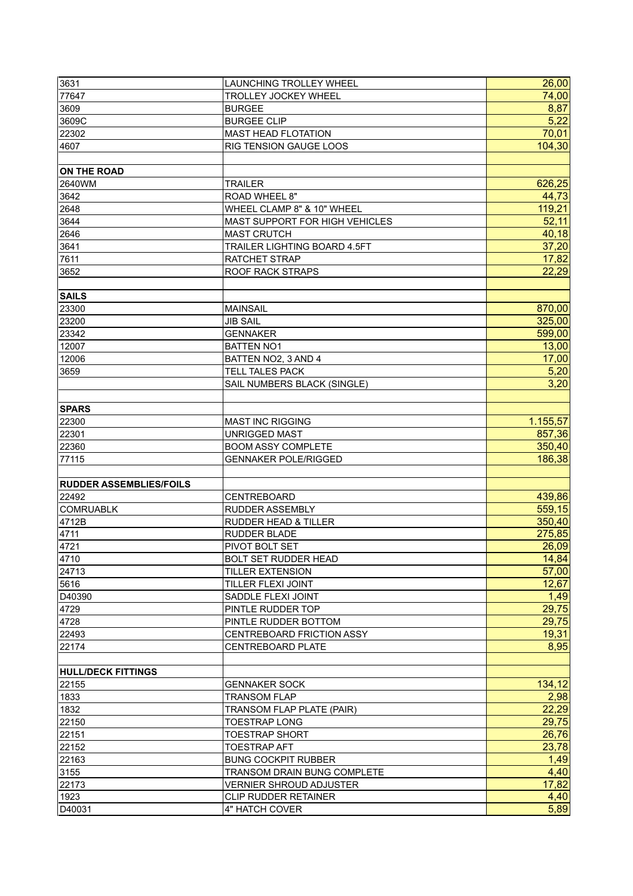| 3631                           | <b>LAUNCHING TROLLEY WHEEL</b>              | 26,00    |
|--------------------------------|---------------------------------------------|----------|
| 77647                          | <b>TROLLEY JOCKEY WHEEL</b>                 | 74,00    |
| 3609                           | <b>BURGEE</b>                               | 8,87     |
| 3609C                          | <b>BURGEE CLIP</b>                          | 5,22     |
| 22302                          | <b>MAST HEAD FLOTATION</b>                  | 70,01    |
| 4607                           | RIG TENSION GAUGE LOOS                      | 104,30   |
|                                |                                             |          |
| <b>ON THE ROAD</b>             |                                             |          |
| 2640WM                         | <b>TRAILER</b>                              | 626,25   |
| 3642                           | ROAD WHEEL 8"                               | 44,73    |
| 2648                           | WHEEL CLAMP 8" & 10" WHEEL                  | 119,21   |
|                                | MAST SUPPORT FOR HIGH VEHICLES              | 52,11    |
| 3644                           |                                             |          |
| 2646                           | <b>MAST CRUTCH</b>                          | 40,18    |
| 3641                           | TRAILER LIGHTING BOARD 4.5FT                | 37,20    |
| 7611                           | RATCHET STRAP                               | 17,82    |
| 3652                           | ROOF RACK STRAPS                            | 22,29    |
|                                |                                             |          |
| <b>SAILS</b>                   |                                             |          |
| 23300                          | <b>MAINSAIL</b>                             | 870,00   |
| 23200                          | <b>JIB SAIL</b>                             | 325,00   |
| 23342                          | <b>GENNAKER</b>                             | 599,00   |
| 12007                          | <b>BATTEN NO1</b>                           | 13,00    |
| 12006                          | BATTEN NO2, 3 AND 4                         | 17,00    |
| 3659                           | <b>TELL TALES PACK</b>                      | 5,20     |
|                                | SAIL NUMBERS BLACK (SINGLE)                 | 3,20     |
|                                |                                             |          |
| <b>SPARS</b>                   |                                             |          |
| 22300                          | <b>MAST INC RIGGING</b>                     | 1.155,57 |
| 22301                          | <b>UNRIGGED MAST</b>                        | 857,36   |
| 22360                          | <b>BOOM ASSY COMPLETE</b>                   | 350,40   |
| 77115                          | <b>GENNAKER POLE/RIGGED</b>                 | 186,38   |
|                                |                                             |          |
| <b>RUDDER ASSEMBLIES/FOILS</b> |                                             |          |
| 22492                          | CENTREBOARD                                 | 439,86   |
| <b>COMRUABLK</b>               | <b>RUDDER ASSEMBLY</b>                      | 559,15   |
| 4712B                          | <b>RUDDER HEAD &amp; TILLER</b>             | 350,40   |
| 4711                           | <b>RUDDER BLADE</b>                         | 275,85   |
| 4721                           | PIVOT BOLT SET                              | 26,09    |
| 4710                           | <b>BOLT SET RUDDER HEAD</b>                 | 14,84    |
| 24713                          | <b>TILLER EXTENSION</b>                     | 57,00    |
| 5616                           | TILLER FLEXI JOINT                          | 12,67    |
| D40390                         | SADDLE FLEXI JOINT                          | 1,49     |
| 4729                           | PINTLE RUDDER TOP                           | 29,75    |
| 4728                           | PINTLE RUDDER BOTTOM                        | 29,75    |
| 22493                          | CENTREBOARD FRICTION ASSY                   | 19,31    |
| 22174                          | <b>CENTREBOARD PLATE</b>                    | 8,95     |
|                                |                                             |          |
| <b>HULL/DECK FITTINGS</b>      |                                             |          |
| 22155                          |                                             | 134,12   |
| 1833                           | <b>GENNAKER SOCK</b><br><b>TRANSOM FLAP</b> | 2,98     |
|                                |                                             |          |
| 1832                           | <b>TRANSOM FLAP PLATE (PAIR)</b>            | 22,29    |
| 22150                          | <b>TOESTRAP LONG</b>                        | 29,75    |
| 22151                          | <b>TOESTRAP SHORT</b>                       | 26,76    |
| 22152                          | <b>TOESTRAP AFT</b>                         | 23,78    |
| 22163                          | <b>BUNG COCKPIT RUBBER</b>                  | 1,49     |
| 3155                           | <b>TRANSOM DRAIN BUNG COMPLETE</b>          | 4,40     |
| 22173                          | <b>VERNIER SHROUD ADJUSTER</b>              | 17,82    |
| 1923                           | <b>CLIP RUDDER RETAINER</b>                 | 4,40     |
| D40031                         | 4" HATCH COVER                              | 5,89     |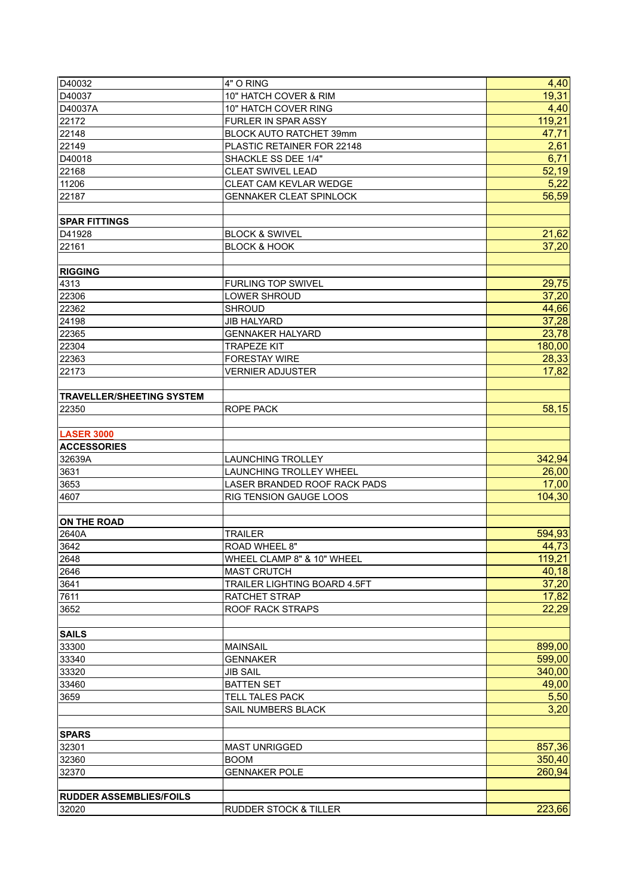| D40032                           | 4" O RING                        | 4,40   |
|----------------------------------|----------------------------------|--------|
| D40037                           | 10" HATCH COVER & RIM            | 19,31  |
| D40037A                          | 10" HATCH COVER RING             | 4,40   |
| 22172                            | FURLER IN SPAR ASSY              | 119,21 |
| 22148                            | BLOCK AUTO RATCHET 39mm          | 47,71  |
| 22149                            | PLASTIC RETAINER FOR 22148       | 2,61   |
| D40018                           | SHACKLE SS DEE 1/4"              | 6,71   |
| 22168                            | <b>CLEAT SWIVEL LEAD</b>         | 52,19  |
| 11206                            | CLEAT CAM KEVLAR WEDGE           | 5,22   |
| 22187                            | <b>GENNAKER CLEAT SPINLOCK</b>   | 56,59  |
|                                  |                                  |        |
| <b>SPAR FITTINGS</b>             |                                  |        |
| D41928                           | <b>BLOCK &amp; SWIVEL</b>        | 21,62  |
| 22161                            | <b>BLOCK &amp; HOOK</b>          | 37,20  |
|                                  |                                  |        |
| <b>RIGGING</b>                   |                                  |        |
| 4313                             | <b>FURLING TOP SWIVEL</b>        | 29,75  |
| 22306                            | <b>LOWER SHROUD</b>              | 37,20  |
| 22362                            | <b>SHROUD</b>                    | 44,66  |
| 24198                            | <b>JIB HALYARD</b>               | 37,28  |
| 22365                            | <b>GENNAKER HALYARD</b>          | 23,78  |
| 22304                            | <b>TRAPEZE KIT</b>               | 180,00 |
| 22363                            | <b>FORESTAY WIRE</b>             | 28,33  |
| 22173                            | <b>VERNIER ADJUSTER</b>          | 17,82  |
|                                  |                                  |        |
| <b>TRAVELLER/SHEETING SYSTEM</b> |                                  |        |
| 22350                            | ROPE PACK                        | 58,15  |
|                                  |                                  |        |
| <b>LASER 3000</b>                |                                  |        |
| <b>ACCESSORIES</b>               |                                  |        |
| 32639A                           | <b>LAUNCHING TROLLEY</b>         | 342,94 |
| 3631                             | LAUNCHING TROLLEY WHEEL          | 26,00  |
| 3653                             | LASER BRANDED ROOF RACK PADS     | 17,00  |
| 4607                             | <b>RIG TENSION GAUGE LOOS</b>    | 104,30 |
|                                  |                                  |        |
| <b>ON THE ROAD</b>               |                                  |        |
| 2640A                            | <b>TRAILER</b>                   | 594,93 |
| 3642                             | ROAD WHEEL 8"                    | 44,73  |
| 2648                             | WHEEL CLAMP 8" & 10" WHEEL       | 119,21 |
| 2646                             | <b>MAST CRUTCH</b>               | 40,18  |
| 3641                             | TRAILER LIGHTING BOARD 4.5FT     | 37,20  |
| 7611                             | RATCHET STRAP                    | 17,82  |
| 3652                             | <b>ROOF RACK STRAPS</b>          | 22,29  |
|                                  |                                  |        |
| <b>SAILS</b>                     |                                  |        |
| 33300                            | <b>MAINSAIL</b>                  | 899,00 |
| 33340                            | <b>GENNAKER</b>                  | 599,00 |
| 33320                            | <b>JIB SAIL</b>                  | 340,00 |
| 33460                            | <b>BATTEN SET</b>                | 49,00  |
| 3659                             | TELL TALES PACK                  | 5,50   |
|                                  | SAIL NUMBERS BLACK               | 3,20   |
|                                  |                                  |        |
| <b>SPARS</b>                     |                                  |        |
| 32301                            | <b>MAST UNRIGGED</b>             | 857,36 |
| 32360                            | <b>BOOM</b>                      | 350,40 |
| 32370                            | <b>GENNAKER POLE</b>             | 260,94 |
| <b>RUDDER ASSEMBLIES/FOILS</b>   |                                  |        |
| 32020                            | <b>RUDDER STOCK &amp; TILLER</b> | 223,66 |
|                                  |                                  |        |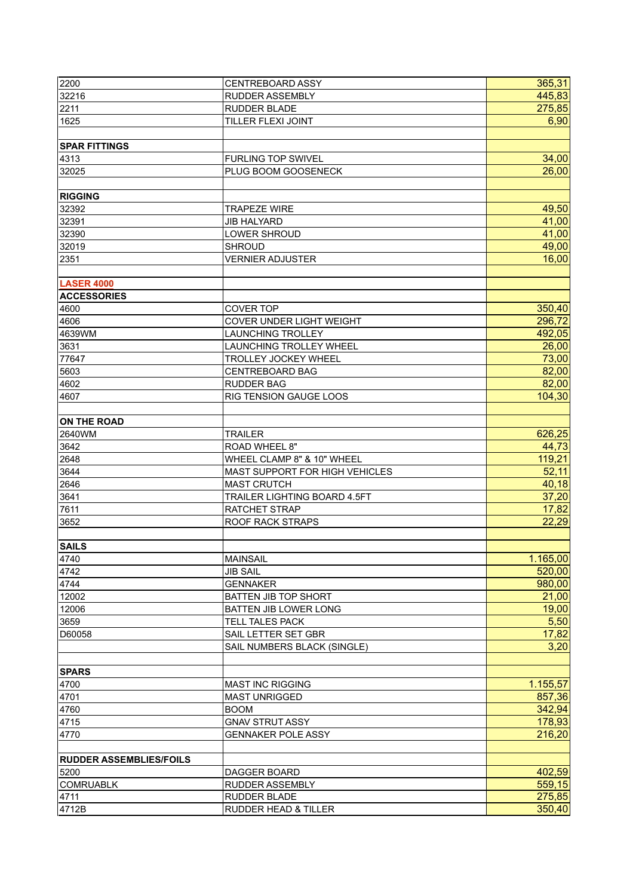| 2200                           | <b>CENTREBOARD ASSY</b>        | 365,31   |
|--------------------------------|--------------------------------|----------|
| 32216                          | <b>RUDDER ASSEMBLY</b>         | 445,83   |
| 2211                           | <b>RUDDER BLADE</b>            | 275,85   |
| 1625                           | TILLER FLEXI JOINT             | 6,90     |
|                                |                                |          |
| <b>SPAR FITTINGS</b>           |                                |          |
| 4313                           | <b>FURLING TOP SWIVEL</b>      | 34,00    |
| 32025                          | PLUG BOOM GOOSENECK            | 26,00    |
|                                |                                |          |
| <b>RIGGING</b>                 |                                |          |
| 32392                          | <b>TRAPEZE WIRE</b>            | 49,50    |
| 32391                          | <b>JIB HALYARD</b>             | 41,00    |
| 32390                          | LOWER SHROUD                   | 41,00    |
| 32019                          | <b>SHROUD</b>                  | 49,00    |
| 2351                           | <b>VERNIER ADJUSTER</b>        | 16,00    |
|                                |                                |          |
| <b>LASER 4000</b>              |                                |          |
| <b>ACCESSORIES</b>             |                                |          |
| 4600                           | <b>COVER TOP</b>               | 350,40   |
| 4606                           | COVER UNDER LIGHT WEIGHT       | 296,72   |
| 4639WM                         | <b>LAUNCHING TROLLEY</b>       | 492,05   |
| 3631                           | LAUNCHING TROLLEY WHEEL        | 26,00    |
| 77647                          | <b>TROLLEY JOCKEY WHEEL</b>    | 73,00    |
| 5603                           | <b>CENTREBOARD BAG</b>         | 82,00    |
| 4602                           | <b>RUDDER BAG</b>              | 82,00    |
| 4607                           | RIG TENSION GAUGE LOOS         | 104,30   |
|                                |                                |          |
| <b>ON THE ROAD</b>             |                                |          |
| 2640WM                         | <b>TRAILER</b>                 | 626,25   |
| 3642                           | ROAD WHEEL 8"                  | 44,73    |
| 2648                           | WHEEL CLAMP 8" & 10" WHEEL     | 119,21   |
| 3644                           | MAST SUPPORT FOR HIGH VEHICLES | 52,11    |
| 2646                           | <b>MAST CRUTCH</b>             | 40,18    |
| 3641                           | TRAILER LIGHTING BOARD 4.5FT   | 37,20    |
| 7611                           | RATCHET STRAP                  | 17,82    |
| 3652                           | <b>ROOF RACK STRAPS</b>        | 22,29    |
|                                |                                |          |
| <b>SAILS</b>                   |                                |          |
| 4740                           | <b>MAINSAIL</b>                | 1.165,00 |
| 4742                           | <b>JIB SAIL</b>                | 520,00   |
| 4744                           | <b>GENNAKER</b>                | 980,00   |
| 12002                          | BATTEN JIB TOP SHORT           | 21,00    |
| 12006                          | <b>BATTEN JIB LOWER LONG</b>   | 19,00    |
| 3659                           | TELL TALES PACK                | 5,50     |
| D60058                         | SAIL LETTER SET GBR            | 17,82    |
|                                | SAIL NUMBERS BLACK (SINGLE)    | 3,20     |
|                                |                                |          |
| <b>SPARS</b>                   |                                |          |
| 4700                           | <b>MAST INC RIGGING</b>        | 1.155,57 |
| 4701                           | <b>MAST UNRIGGED</b>           | 857,36   |
| 4760                           | <b>BOOM</b>                    | 342,94   |
| 4715                           | <b>GNAV STRUT ASSY</b>         | 178,93   |
| 4770                           | <b>GENNAKER POLE ASSY</b>      | 216,20   |
|                                |                                |          |
| <b>RUDDER ASSEMBLIES/FOILS</b> |                                |          |
| 5200                           | DAGGER BOARD                   | 402,59   |
| <b>COMRUABLK</b>               | <b>RUDDER ASSEMBLY</b>         | 559,15   |
| 4711                           | <b>RUDDER BLADE</b>            | 275,85   |
| 4712B                          | RUDDER HEAD & TILLER           | 350,40   |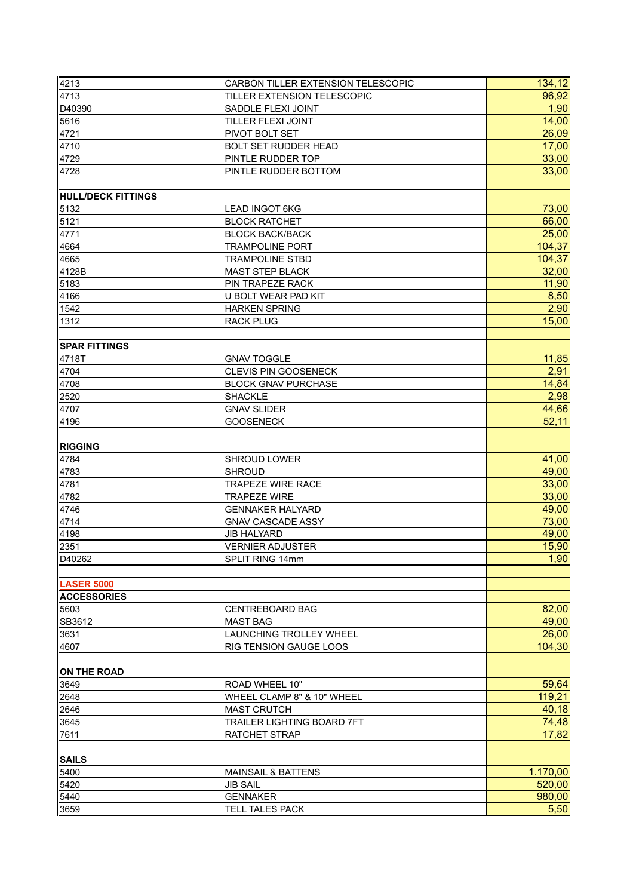| 4213                          | CARBON TILLER EXTENSION TELESCOPIC | 134,12   |
|-------------------------------|------------------------------------|----------|
| 4713                          | TILLER EXTENSION TELESCOPIC        | 96,92    |
| D40390                        | SADDLE FLEXI JOINT                 | 1,90     |
| 5616                          | TILLER FLEXI JOINT                 | 14,00    |
| 4721                          | PIVOT BOLT SET                     | 26,09    |
| 4710                          | <b>BOLT SET RUDDER HEAD</b>        | 17,00    |
| 4729                          | PINTLE RUDDER TOP                  | 33,00    |
| 4728                          | PINTLE RUDDER BOTTOM               | 33,00    |
|                               |                                    |          |
| <b>HULL/DECK FITTINGS</b>     |                                    |          |
| 5132                          | <b>LEAD INGOT 6KG</b>              | 73,00    |
| 5121                          | <b>BLOCK RATCHET</b>               | 66,00    |
| 4771                          | <b>BLOCK BACK/BACK</b>             | 25,00    |
| 4664                          | <b>TRAMPOLINE PORT</b>             | 104,37   |
| 4665                          | <b>TRAMPOLINE STBD</b>             | 104,37   |
| 4128B                         | <b>MAST STEP BLACK</b>             | 32,00    |
| 5183                          | PIN TRAPEZE RACK                   | 11,90    |
|                               | U BOLT WEAR PAD KIT                | 8,50     |
| 4166                          |                                    |          |
| 1542                          | <b>HARKEN SPRING</b>               | 2,90     |
| 1312                          | <b>RACK PLUG</b>                   | 15,00    |
|                               |                                    |          |
| <b>SPAR FITTINGS</b><br>4718T | <b>GNAV TOGGLE</b>                 | 11,85    |
|                               |                                    |          |
| 4704                          | CLEVIS PIN GOOSENECK               | 2,91     |
| 4708                          | <b>BLOCK GNAV PURCHASE</b>         | 14,84    |
| 2520                          | <b>SHACKLE</b>                     | 2,98     |
| 4707                          | <b>GNAV SLIDER</b>                 | 44,66    |
| 4196                          | <b>GOOSENECK</b>                   | 52,11    |
|                               |                                    |          |
| <b>RIGGING</b>                |                                    |          |
| 4784                          | <b>SHROUD LOWER</b>                | 41,00    |
| 4783                          | <b>SHROUD</b>                      | 49,00    |
| 4781                          | <b>TRAPEZE WIRE RACE</b>           | 33,00    |
| 4782                          | <b>TRAPEZE WIRE</b>                | 33,00    |
| 4746                          | <b>GENNAKER HALYARD</b>            | 49,00    |
| 4714                          | <b>GNAV CASCADE ASSY</b>           | 73,00    |
| 4198                          | <b>JIB HALYARD</b>                 | 49,00    |
| 2351                          | <b>VERNIER ADJUSTER</b>            | 15,90    |
| D40262                        | SPLIT RING 14mm                    | 1,90     |
|                               |                                    |          |
| <b>LASER 5000</b>             |                                    |          |
| <b>ACCESSORIES</b>            |                                    |          |
| 5603                          | <b>CENTREBOARD BAG</b>             | 82,00    |
| SB3612                        | <b>MAST BAG</b>                    | 49,00    |
| 3631                          | LAUNCHING TROLLEY WHEEL            | 26,00    |
| 4607                          | <b>RIG TENSION GAUGE LOOS</b>      | 104,30   |
|                               |                                    |          |
| <b>ON THE ROAD</b>            |                                    |          |
| 3649                          | ROAD WHEEL 10"                     | 59,64    |
| 2648                          | WHEEL CLAMP 8" & 10" WHEEL         | 119,21   |
| 2646                          | <b>MAST CRUTCH</b>                 | 40,18    |
| 3645                          | TRAILER LIGHTING BOARD 7FT         | 74,48    |
| 7611                          | RATCHET STRAP                      | 17,82    |
|                               |                                    |          |
| <b>SAILS</b>                  |                                    |          |
| 5400                          | <b>MAINSAIL &amp; BATTENS</b>      | 1.170,00 |
| 5420                          | <b>JIB SAIL</b>                    | 520,00   |
| 5440                          | <b>GENNAKER</b>                    | 980,00   |
| 3659                          | <b>TELL TALES PACK</b>             | 5,50     |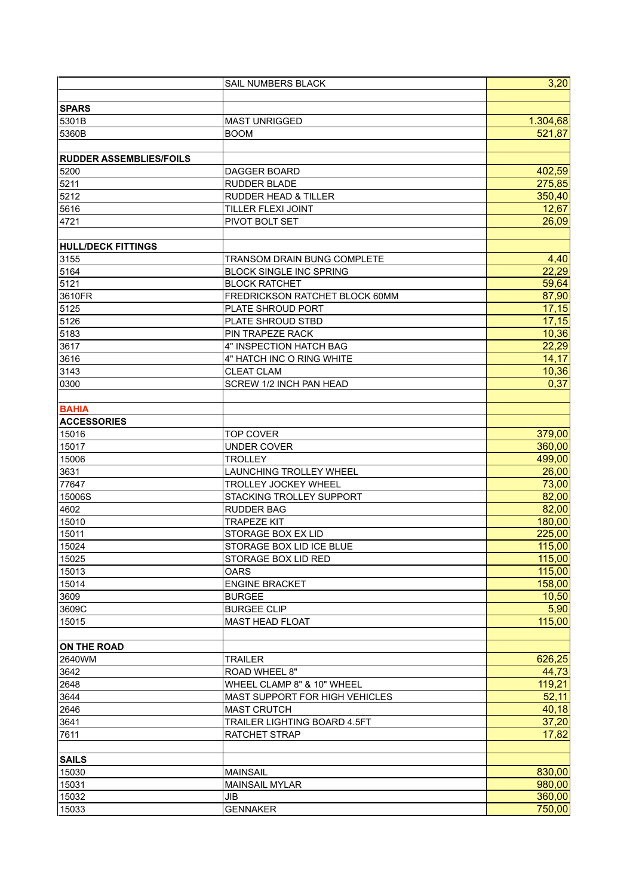|                                | SAIL NUMBERS BLACK              | 3,20     |
|--------------------------------|---------------------------------|----------|
|                                |                                 |          |
| <b>SPARS</b>                   |                                 |          |
| 5301B                          | <b>MAST UNRIGGED</b>            | 1.304,68 |
| 5360B                          | <b>BOOM</b>                     | 521,87   |
|                                |                                 |          |
| <b>RUDDER ASSEMBLIES/FOILS</b> |                                 |          |
| 5200                           | DAGGER BOARD                    | 402,59   |
| 5211                           | RUDDER BLADE                    | 275,85   |
| 5212                           | <b>RUDDER HEAD &amp; TILLER</b> | 350,40   |
| 5616                           | TILLER FLEXI JOINT              | 12,67    |
| 4721                           | PIVOT BOLT SET                  | 26,09    |
|                                |                                 |          |
| <b>HULL/DECK FITTINGS</b>      |                                 |          |
| 3155                           | TRANSOM DRAIN BUNG COMPLETE     | 4,40     |
| 5164                           | <b>BLOCK SINGLE INC SPRING</b>  | 22,29    |
| 5121                           | <b>BLOCK RATCHET</b>            | 59,64    |
| 3610FR                         | FREDRICKSON RATCHET BLOCK 60MM  | 87,90    |
| 5125                           | PLATE SHROUD PORT               | 17,15    |
|                                |                                 | 17,15    |
| 5126                           | PLATE SHROUD STBD               |          |
| 5183                           | PIN TRAPEZE RACK                | 10,36    |
| 3617                           | 4" INSPECTION HATCH BAG         | 22,29    |
| 3616                           | 4" HATCH INC O RING WHITE       | 14,17    |
| 3143                           | <b>CLEAT CLAM</b>               | 10,36    |
| 0300                           | SCREW 1/2 INCH PAN HEAD         | 0,37     |
|                                |                                 |          |
| <b>BAHIA</b>                   |                                 |          |
| <b>ACCESSORIES</b>             |                                 |          |
| 15016                          | <b>TOP COVER</b>                | 379,00   |
| 15017                          | <b>UNDER COVER</b>              | 360,00   |
| 15006                          | <b>TROLLEY</b>                  | 499,00   |
| 3631                           | LAUNCHING TROLLEY WHEEL         | 26,00    |
| 77647                          | TROLLEY JOCKEY WHEEL            | 73,00    |
| 15006S                         | STACKING TROLLEY SUPPORT        | 82,00    |
| 4602                           | <b>RUDDER BAG</b>               | 82,00    |
| 15010                          | <b>TRAPEZE KIT</b>              | 180,00   |
| 15011                          | STORAGE BOX EX LID              | 225,00   |
| 15024                          | STORAGE BOX LID ICE BLUE        | 115,00   |
| 15025                          | STORAGE BOX LID RED             | 115,00   |
| 15013                          | <b>OARS</b>                     | 115,00   |
| 15014                          | <b>ENGINE BRACKET</b>           | 158,00   |
| 3609                           | <b>BURGEE</b>                   | 10,50    |
| 3609C                          | <b>BURGEE CLIP</b>              | 5,90     |
| 15015                          | <b>MAST HEAD FLOAT</b>          | 115,00   |
|                                |                                 |          |
| <b>ON THE ROAD</b>             |                                 |          |
| 2640WM                         | <b>TRAILER</b>                  | 626,25   |
| 3642                           | <b>ROAD WHEEL 8"</b>            | 44,73    |
| 2648                           | WHEEL CLAMP 8" & 10" WHEEL      | 119,21   |
| 3644                           | MAST SUPPORT FOR HIGH VEHICLES  | 52,11    |
| 2646                           | <b>MAST CRUTCH</b>              | 40,18    |
| 3641                           | TRAILER LIGHTING BOARD 4.5FT    | 37,20    |
| 7611                           | <b>RATCHET STRAP</b>            | 17,82    |
|                                |                                 |          |
| <b>SAILS</b>                   |                                 |          |
| 15030                          | <b>MAINSAIL</b>                 | 830,00   |
|                                |                                 | 980,00   |
| 15031                          | <b>MAINSAIL MYLAR</b>           |          |
| 15032                          | <b>JIB</b>                      | 360,00   |
| 15033                          | <b>GENNAKER</b>                 | 750,00   |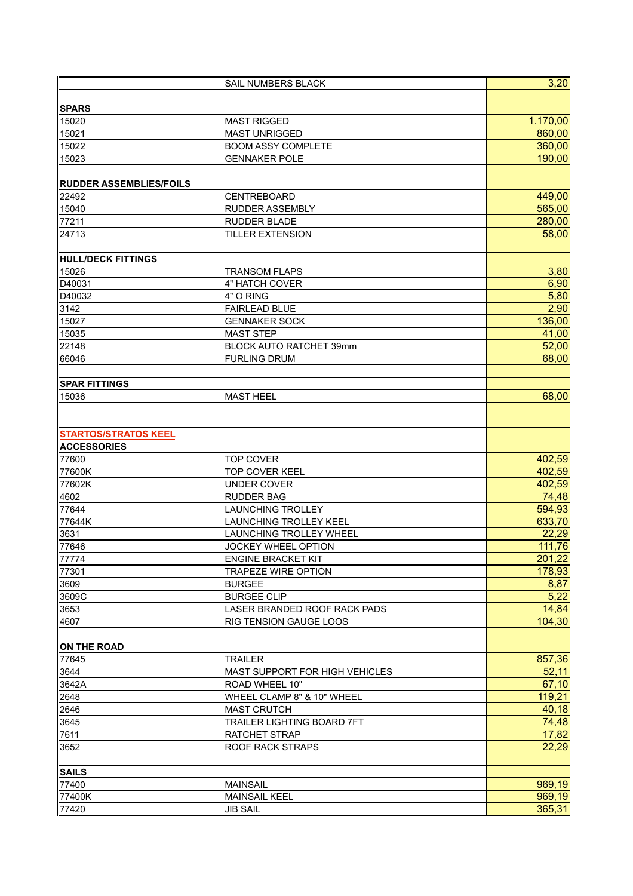|                                | SAIL NUMBERS BLACK                    | 3,20     |
|--------------------------------|---------------------------------------|----------|
|                                |                                       |          |
| <b>SPARS</b>                   |                                       |          |
| 15020                          | <b>MAST RIGGED</b>                    | 1.170,00 |
| 15021                          | <b>MAST UNRIGGED</b>                  | 860,00   |
| 15022                          | <b>BOOM ASSY COMPLETE</b>             | 360,00   |
| 15023                          | <b>GENNAKER POLE</b>                  | 190,00   |
|                                |                                       |          |
| <b>RUDDER ASSEMBLIES/FOILS</b> |                                       |          |
| 22492                          | CENTREBOARD                           | 449,00   |
| 15040                          | RUDDER ASSEMBLY                       | 565,00   |
| 77211                          | <b>RUDDER BLADE</b>                   | 280,00   |
| 24713                          | <b>TILLER EXTENSION</b>               | 58,00    |
|                                |                                       |          |
| <b>HULL/DECK FITTINGS</b>      |                                       |          |
| 15026                          | <b>TRANSOM FLAPS</b>                  | 3,80     |
| D40031                         | <b>4" HATCH COVER</b>                 | 6,90     |
| D40032                         | 4" O RING                             | 5,80     |
| 3142                           | <b>FAIRLEAD BLUE</b>                  | 2,90     |
| 15027                          | <b>GENNAKER SOCK</b>                  | 136,00   |
| 15035                          | <b>MAST STEP</b>                      | 41,00    |
| 22148                          | BLOCK AUTO RATCHET 39mm               | 52,00    |
| 66046                          | <b>FURLING DRUM</b>                   | 68,00    |
|                                |                                       |          |
| <b>SPAR FITTINGS</b>           |                                       |          |
| 15036                          | <b>MAST HEEL</b>                      | 68,00    |
|                                |                                       |          |
|                                |                                       |          |
| <b>STARTOS/STRATOS KEEL</b>    |                                       |          |
| <b>ACCESSORIES</b>             |                                       |          |
| 77600                          | <b>TOP COVER</b>                      | 402,59   |
| 77600K                         | <b>TOP COVER KEEL</b>                 | 402,59   |
| 77602K                         | <b>UNDER COVER</b>                    | 402,59   |
| 4602                           | <b>RUDDER BAG</b>                     | 74,48    |
| 77644                          | <b>LAUNCHING TROLLEY</b>              | 594,93   |
| 77644K                         | <b>LAUNCHING TROLLEY KEEL</b>         | 633,70   |
| 3631                           | <b>LAUNCHING TROLLEY WHEEL</b>        | 22,29    |
| 77646                          | <b>JOCKEY WHEEL OPTION</b>            | 111,76   |
| 77774                          | ENGINE BRACKET KIT                    | 201,22   |
| 77301                          | <b>TRAPEZE WIRE OPTION</b>            | 178,93   |
| 3609                           | <b>BURGEE</b>                         | 8,87     |
| 3609C                          | <b>BURGEE CLIP</b>                    | 5,22     |
| 3653                           | LASER BRANDED ROOF RACK PADS          | 14,84    |
| 4607                           | RIG TENSION GAUGE LOOS                | 104,30   |
|                                |                                       |          |
| <b>ON THE ROAD</b>             |                                       |          |
| 77645                          | <b>TRAILER</b>                        | 857,36   |
| 3644                           | <b>MAST SUPPORT FOR HIGH VEHICLES</b> | 52,11    |
| 3642A                          | ROAD WHEEL 10"                        | 67,10    |
| 2648                           | WHEEL CLAMP 8" & 10" WHEEL            | 119,21   |
| 2646                           | <b>MAST CRUTCH</b>                    | 40,18    |
| 3645                           | TRAILER LIGHTING BOARD 7FT            | 74,48    |
| 7611                           | RATCHET STRAP                         | 17,82    |
| 3652                           | <b>ROOF RACK STRAPS</b>               | 22,29    |
|                                |                                       |          |
| <b>SAILS</b>                   |                                       |          |
| 77400                          | <b>MAINSAIL</b>                       | 969,19   |
| 77400K                         | <b>MAINSAIL KEEL</b>                  | 969,19   |
| 77420                          | <b>JIB SAIL</b>                       | 365,31   |
|                                |                                       |          |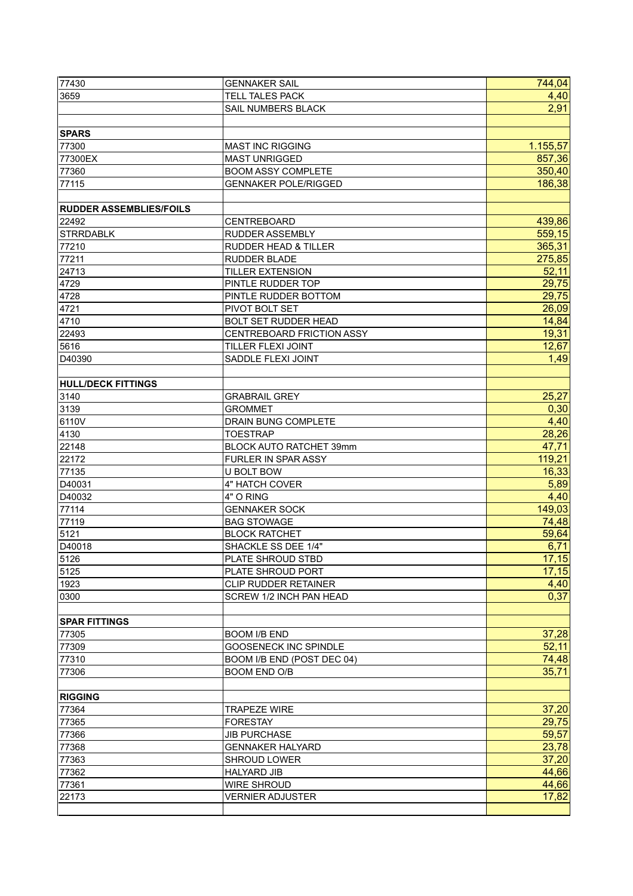| 77430                          | <b>GENNAKER SAIL</b>            | 744,04   |
|--------------------------------|---------------------------------|----------|
| 3659                           | <b>TELL TALES PACK</b>          | 4,40     |
|                                | SAIL NUMBERS BLACK              | 2,91     |
|                                |                                 |          |
| <b>SPARS</b>                   |                                 |          |
| 77300                          | <b>MAST INC RIGGING</b>         | 1.155,57 |
| 77300EX                        | <b>MAST UNRIGGED</b>            | 857,36   |
| 77360                          | <b>BOOM ASSY COMPLETE</b>       | 350,40   |
| 77115                          | <b>GENNAKER POLE/RIGGED</b>     | 186,38   |
|                                |                                 |          |
| <b>RUDDER ASSEMBLIES/FOILS</b> |                                 |          |
| 22492                          | <b>CENTREBOARD</b>              | 439,86   |
| <b>STRRDABLK</b>               | <b>RUDDER ASSEMBLY</b>          | 559,15   |
| 77210                          | <b>RUDDER HEAD &amp; TILLER</b> | 365,31   |
| 77211                          | <b>RUDDER BLADE</b>             | 275,85   |
| 24713                          | <b>TILLER EXTENSION</b>         | 52,11    |
| 4729                           | PINTLE RUDDER TOP               | 29,75    |
| 4728                           | PINTLE RUDDER BOTTOM            | 29,75    |
|                                |                                 | 26,09    |
| 4721                           | PIVOT BOLT SET                  |          |
| 4710                           | <b>BOLT SET RUDDER HEAD</b>     | 14,84    |
| 22493                          | CENTREBOARD FRICTION ASSY       | 19,31    |
| 5616                           | TILLER FLEXI JOINT              | 12,67    |
| D40390                         | SADDLE FLEXI JOINT              | 1,49     |
| <b>HULL/DECK FITTINGS</b>      |                                 |          |
| 3140                           | <b>GRABRAIL GREY</b>            | 25,27    |
| 3139                           | <b>GROMMET</b>                  | 0,30     |
| 6110V                          | DRAIN BUNG COMPLETE             | 4,40     |
| 4130                           | <b>TOESTRAP</b>                 | 28,26    |
| 22148                          | BLOCK AUTO RATCHET 39mm         | 47,71    |
| 22172                          | FURLER IN SPAR ASSY             | 119,21   |
| 77135                          | U BOLT BOW                      | 16,33    |
| D40031                         | 4" HATCH COVER                  | 5,89     |
| D40032                         | 4" O RING                       | 4,40     |
| 77114                          | <b>GENNAKER SOCK</b>            | 149,03   |
| 77119                          | <b>BAG STOWAGE</b>              | 74,48    |
| 5121                           | <b>BLOCK RATCHET</b>            | 59,64    |
| D40018                         | SHACKLE SS DEE 1/4"             | 6,71     |
| 5126                           | PLATE SHROUD STBD               | 17,15    |
| 5125                           | PLATE SHROUD PORT               | 17,15    |
| 1923                           | <b>CLIP RUDDER RETAINER</b>     | 4,40     |
| 0300                           | SCREW 1/2 INCH PAN HEAD         | 0,37     |
|                                |                                 |          |
| <b>SPAR FITTINGS</b>           |                                 |          |
| 77305                          | <b>BOOM I/B END</b>             | 37,28    |
| 77309                          | <b>GOOSENECK INC SPINDLE</b>    | 52,11    |
| 77310                          | BOOM I/B END (POST DEC 04)      | 74,48    |
| 77306                          | <b>BOOM END O/B</b>             | 35,71    |
|                                |                                 |          |
| <b>RIGGING</b>                 |                                 |          |
| 77364                          | <b>TRAPEZE WIRE</b>             | 37,20    |
| 77365                          | <b>FORESTAY</b>                 | 29,75    |
| 77366                          | <b>JIB PURCHASE</b>             | 59,57    |
| 77368                          | <b>GENNAKER HALYARD</b>         | 23,78    |
| 77363                          | <b>SHROUD LOWER</b>             | 37,20    |
| 77362                          | <b>HALYARD JIB</b>              | 44,66    |
| 77361                          | <b>WIRE SHROUD</b>              | 44,66    |
| 22173                          | <b>VERNIER ADJUSTER</b>         | 17,82    |
|                                |                                 |          |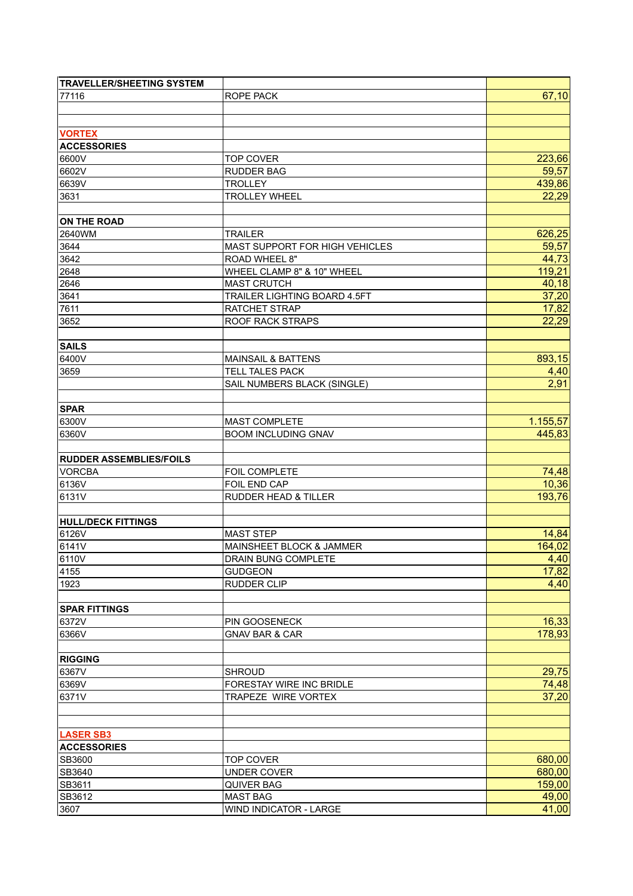| <b>TRAVELLER/SHEETING SYSTEM</b> |                                 |          |
|----------------------------------|---------------------------------|----------|
| 77116                            | ROPE PACK                       | 67,10    |
|                                  |                                 |          |
|                                  |                                 |          |
| <b>VORTEX</b>                    |                                 |          |
| <b>ACCESSORIES</b>               |                                 |          |
| 6600V                            | <b>TOP COVER</b>                | 223,66   |
| 6602V                            | <b>RUDDER BAG</b>               | 59,57    |
| 6639V                            | <b>TROLLEY</b>                  | 439,86   |
| 3631                             | <b>TROLLEY WHEEL</b>            | 22,29    |
|                                  |                                 |          |
| <b>ON THE ROAD</b>               |                                 |          |
|                                  |                                 |          |
| 2640WM                           | <b>TRAILER</b>                  | 626,25   |
| 3644                             | MAST SUPPORT FOR HIGH VEHICLES  | 59,57    |
| 3642                             | ROAD WHEEL 8"                   | 44,73    |
| 2648                             | WHEEL CLAMP 8" & 10" WHEEL      | 119,21   |
| 2646                             | <b>MAST CRUTCH</b>              | 40,18    |
| 3641                             | TRAILER LIGHTING BOARD 4.5FT    | 37,20    |
| 7611                             | RATCHET STRAP                   | 17,82    |
| 3652                             | <b>ROOF RACK STRAPS</b>         | 22,29    |
|                                  |                                 |          |
| <b>SAILS</b>                     |                                 |          |
| 6400V                            | <b>MAINSAIL &amp; BATTENS</b>   | 893,15   |
| 3659                             | <b>TELL TALES PACK</b>          | 4,40     |
|                                  | SAIL NUMBERS BLACK (SINGLE)     | 2,91     |
|                                  |                                 |          |
| <b>SPAR</b>                      |                                 |          |
| 6300V                            | MAST COMPLETE                   | 1.155,57 |
| 6360V                            | <b>BOOM INCLUDING GNAV</b>      | 445,83   |
|                                  |                                 |          |
| <b>RUDDER ASSEMBLIES/FOILS</b>   |                                 |          |
| <b>VORCBA</b>                    | FOIL COMPLETE                   | 74,48    |
| 6136V                            | FOIL END CAP                    | 10,36    |
|                                  |                                 |          |
| 6131V                            | <b>RUDDER HEAD &amp; TILLER</b> | 193,76   |
|                                  |                                 |          |
| <b>HULL/DECK FITTINGS</b>        |                                 |          |
| 6126V                            | <b>MAST STEP</b>                | 14,84    |
| 6141V                            | MAINSHEET BLOCK & JAMMER        | 164,02   |
| 6110V                            | DRAIN BUNG COMPLETE             | 4,40     |
| 4155                             | <b>GUDGEON</b>                  | 17,82    |
| 1923                             | RUDDER CLIP                     | 4,40     |
|                                  |                                 |          |
| <b>SPAR FITTINGS</b>             |                                 |          |
| 6372V                            | PIN GOOSENECK                   | 16,33    |
| 6366V                            | <b>GNAV BAR &amp; CAR</b>       | 178,93   |
|                                  |                                 |          |
| <b>RIGGING</b>                   |                                 |          |
| 6367V                            | <b>SHROUD</b>                   | 29,75    |
| 6369V                            | FORESTAY WIRE INC BRIDLE        | 74,48    |
| 6371V                            | TRAPEZE WIRE VORTEX             | 37,20    |
|                                  |                                 |          |
|                                  |                                 |          |
| <b>LASER SB3</b>                 |                                 |          |
|                                  |                                 |          |
| <b>ACCESSORIES</b>               |                                 |          |
| SB3600                           | <b>TOP COVER</b>                | 680,00   |
| SB3640                           | <b>UNDER COVER</b>              | 680,00   |
| SB3611                           | QUIVER BAG                      | 159,00   |
| SB3612                           | <b>MAST BAG</b>                 | 49,00    |
| 3607                             | <b>WIND INDICATOR - LARGE</b>   | 41,00    |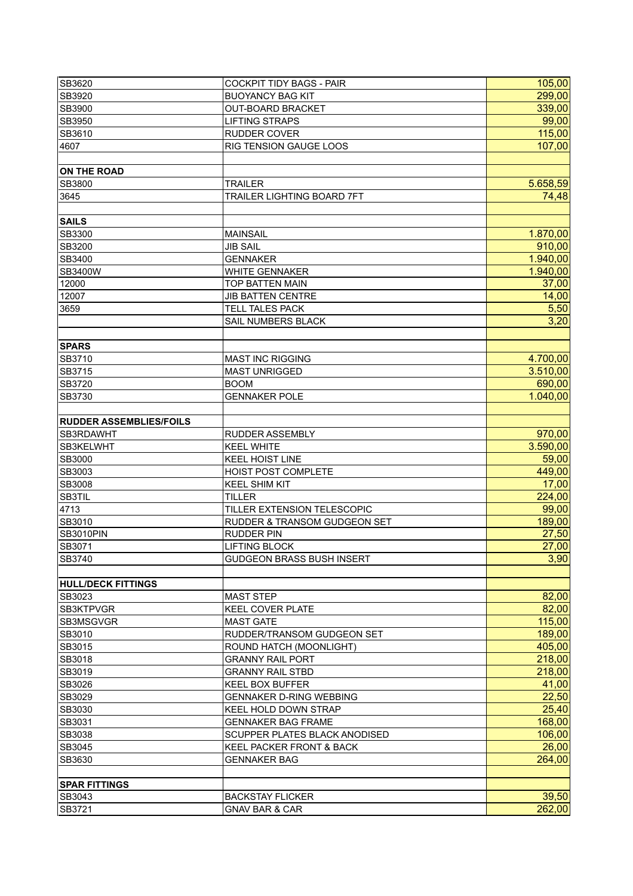| SB3620                         | <b>COCKPIT TIDY BAGS - PAIR</b>     | 105,00   |
|--------------------------------|-------------------------------------|----------|
| SB3920                         | <b>BUOYANCY BAG KIT</b>             | 299,00   |
| SB3900                         | <b>OUT-BOARD BRACKET</b>            | 339,00   |
| SB3950                         | <b>LIFTING STRAPS</b>               | 99,00    |
| SB3610                         | RUDDER COVER                        | 115,00   |
| 4607                           | RIG TENSION GAUGE LOOS              | 107,00   |
|                                |                                     |          |
| <b>ON THE ROAD</b>             |                                     |          |
| SB3800                         | <b>TRAILER</b>                      | 5.658,59 |
| 3645                           | TRAILER LIGHTING BOARD 7FT          | 74,48    |
|                                |                                     |          |
| <b>SAILS</b>                   |                                     |          |
| SB3300                         | <b>MAINSAIL</b>                     | 1.870,00 |
| SB3200                         | <b>JIB SAIL</b>                     | 910,00   |
| SB3400                         | <b>GENNAKER</b>                     | 1.940,00 |
| SB3400W                        | <b>WHITE GENNAKER</b>               | 1.940,00 |
| 12000                          | TOP BATTEN MAIN                     | 37,00    |
| 12007                          | <b>JIB BATTEN CENTRE</b>            | 14,00    |
| 3659                           | <b>TELL TALES PACK</b>              | 5,50     |
|                                | SAIL NUMBERS BLACK                  | 3,20     |
|                                |                                     |          |
| <b>SPARS</b>                   |                                     |          |
| SB3710                         | <b>MAST INC RIGGING</b>             | 4.700,00 |
| SB3715                         | <b>MAST UNRIGGED</b>                | 3.510,00 |
| SB3720                         | <b>BOOM</b>                         | 690,00   |
| SB3730                         | <b>GENNAKER POLE</b>                | 1.040,00 |
|                                |                                     |          |
| <b>RUDDER ASSEMBLIES/FOILS</b> |                                     |          |
| SB3RDAWHT                      | <b>RUDDER ASSEMBLY</b>              | 970,00   |
| SB3KELWHT                      | <b>KEEL WHITE</b>                   | 3.590,00 |
| SB3000                         | <b>KEEL HOIST LINE</b>              | 59,00    |
| SB3003                         | HOIST POST COMPLETE                 | 449,00   |
| SB3008                         | <b>KEEL SHIM KIT</b>                | 17,00    |
| SB3TIL                         | <b>TILLER</b>                       | 224,00   |
| 4713                           | TILLER EXTENSION TELESCOPIC         | 99,00    |
| SB3010                         | RUDDER & TRANSOM GUDGEON SET        | 189,00   |
| <b>SB3010PIN</b>               | <b>RUDDER PIN</b>                   | 27,50    |
| SB3071                         | <b>LIFTING BLOCK</b>                | 27,00    |
| SB3740                         | <b>GUDGEON BRASS BUSH INSERT</b>    | 3,90     |
|                                |                                     |          |
| <b>HULL/DECK FITTINGS</b>      |                                     |          |
| SB3023                         | <b>MAST STEP</b>                    | 82,00    |
| <b>SB3KTPVGR</b>               | <b>KEEL COVER PLATE</b>             | 82,00    |
| SB3MSGVGR                      | <b>MAST GATE</b>                    | 115,00   |
| SB3010                         | RUDDER/TRANSOM GUDGEON SET          | 189,00   |
| SB3015                         | ROUND HATCH (MOONLIGHT)             | 405,00   |
| SB3018                         | <b>GRANNY RAIL PORT</b>             | 218,00   |
| SB3019                         | <b>GRANNY RAIL STBD</b>             | 218,00   |
| SB3026                         | KEEL BOX BUFFER                     | 41,00    |
| SB3029                         | <b>GENNAKER D-RING WEBBING</b>      | 22,50    |
| SB3030                         | KEEL HOLD DOWN STRAP                | 25,40    |
| SB3031                         | <b>GENNAKER BAG FRAME</b>           | 168,00   |
| SB3038                         | SCUPPER PLATES BLACK ANODISED       | 106,00   |
| SB3045                         | <b>KEEL PACKER FRONT &amp; BACK</b> | 26,00    |
| SB3630                         | <b>GENNAKER BAG</b>                 | 264,00   |
|                                |                                     |          |
|                                |                                     |          |
| <b>SPAR FITTINGS</b>           |                                     | 39,50    |
| SB3043                         | <b>BACKSTAY FLICKER</b>             |          |
| SB3721                         | <b>GNAV BAR &amp; CAR</b>           | 262,00   |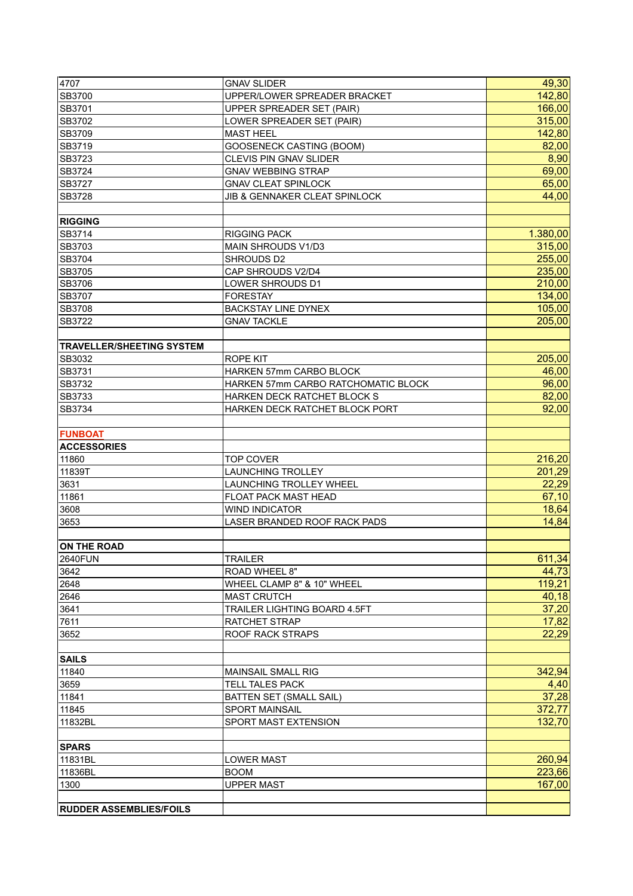| 4707                             | <b>GNAV SLIDER</b>                  | 49,30            |
|----------------------------------|-------------------------------------|------------------|
| SB3700                           | UPPER/LOWER SPREADER BRACKET        | 142,80           |
| SB3701                           | UPPER SPREADER SET (PAIR)           | 166,00           |
| SB3702                           | LOWER SPREADER SET (PAIR)           | 315,00           |
| SB3709                           | <b>MAST HEEL</b>                    | 142,80           |
| SB3719                           | <b>GOOSENECK CASTING (BOOM)</b>     | 82,00            |
| SB3723                           | <b>CLEVIS PIN GNAV SLIDER</b>       | 8,90             |
| SB3724                           | <b>GNAV WEBBING STRAP</b>           | 69,00            |
| SB3727                           | <b>GNAV CLEAT SPINLOCK</b>          | 65,00            |
| SB3728                           | JIB & GENNAKER CLEAT SPINLOCK       | 44,00            |
| <b>RIGGING</b>                   |                                     |                  |
| SB3714                           | <b>RIGGING PACK</b>                 | 1.380,00         |
| SB3703                           | MAIN SHROUDS V1/D3                  | 315,00           |
| SB3704                           | SHROUDS D2                          | 255,00           |
| SB3705                           | CAP SHROUDS V2/D4                   | 235,00           |
| SB3706                           | LOWER SHROUDS D1                    | 210,00           |
| SB3707                           | <b>FORESTAY</b>                     | 134,00           |
| SB3708                           | <b>BACKSTAY LINE DYNEX</b>          | 105,00           |
| SB3722                           | <b>GNAV TACKLE</b>                  | 205,00           |
| <b>TRAVELLER/SHEETING SYSTEM</b> |                                     |                  |
| SB3032                           | ROPE KIT                            | 205,00           |
| SB3731                           | <b>HARKEN 57mm CARBO BLOCK</b>      | 46,00            |
| SB3732                           | HARKEN 57mm CARBO RATCHOMATIC BLOCK | 96,00            |
| SB3733                           | HARKEN DECK RATCHET BLOCK S         | 82,00            |
| SB3734                           |                                     | 92,00            |
|                                  | HARKEN DECK RATCHET BLOCK PORT      |                  |
| <b>FUNBOAT</b>                   |                                     |                  |
| <b>ACCESSORIES</b>               |                                     |                  |
| 11860                            | <b>TOP COVER</b>                    | 216,20           |
| 11839T                           | <b>LAUNCHING TROLLEY</b>            | 201,29           |
| 3631                             | LAUNCHING TROLLEY WHEEL             | 22,29            |
| 11861                            | FLOAT PACK MAST HEAD                | 67,10            |
| 3608                             | <b>WIND INDICATOR</b>               | 18,64            |
| 3653                             | LASER BRANDED ROOF RACK PADS        | 14,84            |
| ON THE ROAD                      |                                     |                  |
| 2640FUN                          | <b>TRAILER</b>                      | 611,34           |
| 3642                             | <b>ROAD WHEEL 8"</b>                | 44,73            |
| 2648                             | WHEEL CLAMP 8" & 10" WHEEL          | 119,21           |
| 2646                             | <b>MAST CRUTCH</b>                  | 40,18            |
| 3641                             | TRAILER LIGHTING BOARD 4.5FT        | 37,20            |
| 7611                             | RATCHET STRAP                       | 17,82            |
| 3652                             | ROOF RACK STRAPS                    | 22,29            |
| SAILS                            |                                     |                  |
| 11840                            | MAINSAIL SMALL RIG                  | 342,94           |
| 3659                             | <b>TELL TALES PACK</b>              | 4,40             |
| 11841                            | <b>BATTEN SET (SMALL SAIL)</b>      | 37,28            |
| 11845                            | <b>SPORT MAINSAIL</b>               | 372,77           |
|                                  |                                     | 132,70           |
|                                  | SPORT MAST EXTENSION                |                  |
| 11832BL                          |                                     |                  |
| <b>SPARS</b>                     |                                     |                  |
| 11831BL                          | <b>LOWER MAST</b>                   | 260,94           |
| 11836BL<br>1300                  | <b>BOOM</b><br><b>UPPER MAST</b>    | 223,66<br>167,00 |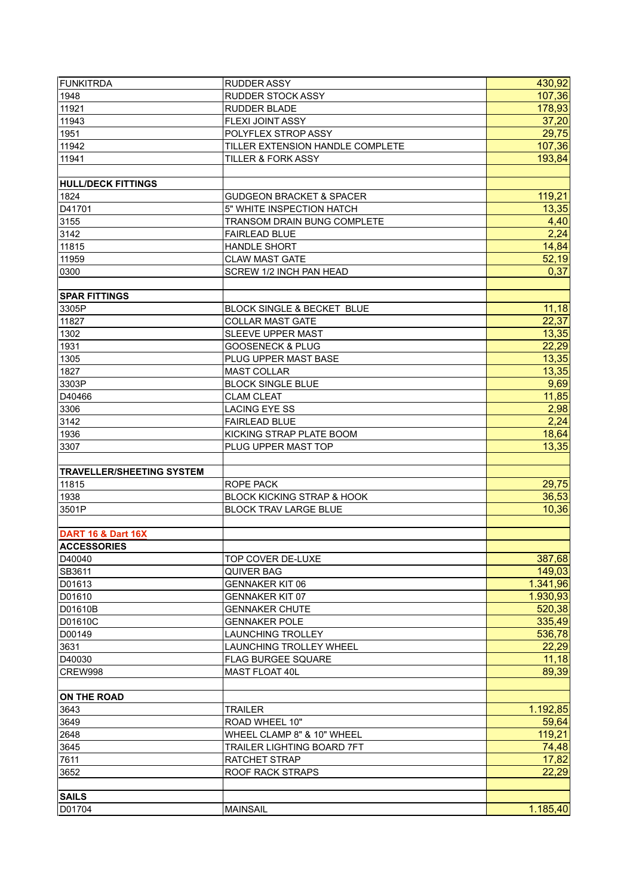| <b>FUNKITRDA</b>                 | RUDDER ASSY                           | 430,92   |
|----------------------------------|---------------------------------------|----------|
| 1948                             | <b>RUDDER STOCK ASSY</b>              | 107,36   |
| 11921                            | <b>RUDDER BLADE</b>                   | 178,93   |
| 11943                            | <b>FLEXI JOINT ASSY</b>               | 37,20    |
| 1951                             | POLYFLEX STROP ASSY                   | 29,75    |
| 11942                            | TILLER EXTENSION HANDLE COMPLETE      | 107,36   |
| 11941                            | <b>TILLER &amp; FORK ASSY</b>         | 193,84   |
|                                  |                                       |          |
| <b>HULL/DECK FITTINGS</b>        |                                       |          |
| 1824                             | <b>GUDGEON BRACKET &amp; SPACER</b>   | 119,21   |
| D41701                           | 5" WHITE INSPECTION HATCH             | 13,35    |
| 3155                             | TRANSOM DRAIN BUNG COMPLETE           | 4,40     |
| 3142                             | <b>FAIRLEAD BLUE</b>                  | 2,24     |
| 11815                            | <b>HANDLE SHORT</b>                   | 14,84    |
| 11959                            | <b>CLAW MAST GATE</b>                 | 52,19    |
| 0300                             | <b>SCREW 1/2 INCH PAN HEAD</b>        | 0,37     |
|                                  |                                       |          |
| <b>SPAR FITTINGS</b>             |                                       |          |
| 3305P                            | <b>BLOCK SINGLE &amp; BECKET BLUE</b> | 11,18    |
| 11827                            | <b>COLLAR MAST GATE</b>               | 22,37    |
| 1302                             | <b>SLEEVE UPPER MAST</b>              | 13,35    |
| 1931                             | <b>GOOSENECK &amp; PLUG</b>           | 22,29    |
| 1305                             | PLUG UPPER MAST BASE                  | 13,35    |
| 1827                             | <b>MAST COLLAR</b>                    | 13,35    |
| 3303P                            | <b>BLOCK SINGLE BLUE</b>              | 9,69     |
| D40466                           | <b>CLAM CLEAT</b>                     | 11,85    |
| 3306                             | <b>LACING EYE SS</b>                  | 2,98     |
| 3142                             | <b>FAIRLEAD BLUE</b>                  | 2,24     |
| 1936                             | KICKING STRAP PLATE BOOM              | 18,64    |
| 3307                             | PLUG UPPER MAST TOP                   | 13,35    |
|                                  |                                       |          |
| <b>TRAVELLER/SHEETING SYSTEM</b> |                                       |          |
| 11815                            | ROPE PACK                             | 29,75    |
| 1938                             | <b>BLOCK KICKING STRAP &amp; HOOK</b> | 36,53    |
| 3501P                            | <b>BLOCK TRAV LARGE BLUE</b>          | 10,36    |
|                                  |                                       |          |
| <b>DART 16 &amp; Dart 16X</b>    |                                       |          |
| <b>ACCESSORIES</b>               |                                       |          |
| D40040                           | TOP COVER DE-LUXE                     | 387,68   |
| SB3611                           | <b>QUIVER BAG</b>                     | 149,03   |
| D01613                           | <b>GENNAKER KIT 06</b>                | 1.341,96 |
| D01610                           | <b>GENNAKER KIT 07</b>                | 1.930,93 |
| D01610B                          | <b>GENNAKER CHUTE</b>                 | 520,38   |
| D01610C                          | <b>GENNAKER POLE</b>                  | 335,49   |
| D00149                           | <b>LAUNCHING TROLLEY</b>              | 536,78   |
| 3631                             | <b>LAUNCHING TROLLEY WHEEL</b>        | 22,29    |
| D40030                           | <b>FLAG BURGEE SQUARE</b>             | 11,18    |
| CREW998                          | MAST FLOAT 40L                        | 89,39    |
| <b>ON THE ROAD</b>               |                                       |          |
| 3643                             | <b>TRAILER</b>                        | 1.192,85 |
| 3649                             | ROAD WHEEL 10"                        | 59,64    |
| 2648                             | WHEEL CLAMP 8" & 10" WHEEL            | 119,21   |
| 3645                             | <b>TRAILER LIGHTING BOARD 7FT</b>     | 74,48    |
| 7611                             | RATCHET STRAP                         | 17,82    |
| 3652                             | ROOF RACK STRAPS                      | 22,29    |
|                                  |                                       |          |
| <b>SAILS</b>                     |                                       |          |
| D01704                           | <b>MAINSAIL</b>                       | 1.185,40 |
|                                  |                                       |          |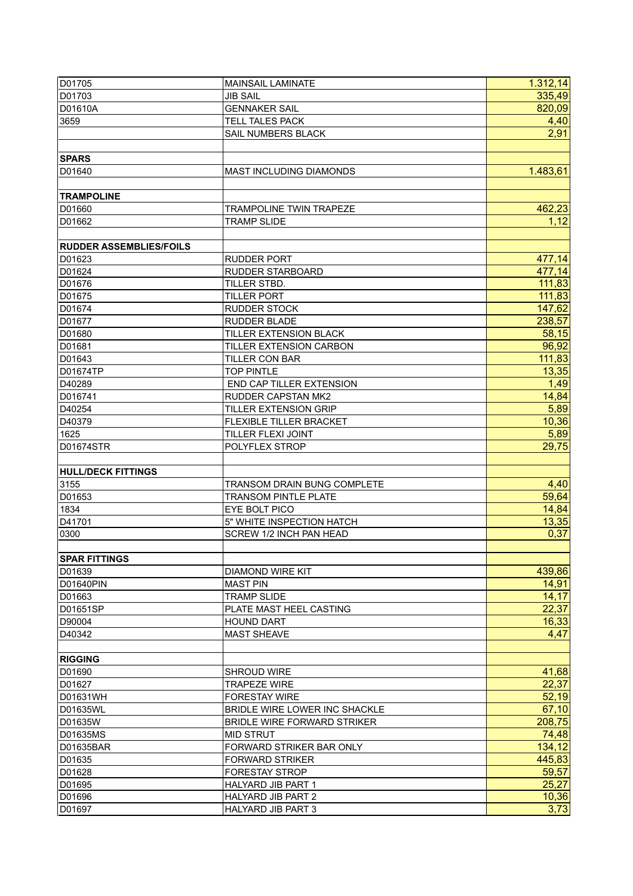| D01705                         | <b>MAINSAIL LAMINATE</b>           | 1.312, 14 |
|--------------------------------|------------------------------------|-----------|
| D01703                         | <b>JIB SAIL</b>                    | 335,49    |
| D01610A                        | <b>GENNAKER SAIL</b>               | 820,09    |
| 3659                           | <b>TELL TALES PACK</b>             | 4,40      |
|                                | SAIL NUMBERS BLACK                 | 2,91      |
|                                |                                    |           |
| <b>SPARS</b>                   |                                    |           |
| D01640                         | MAST INCLUDING DIAMONDS            | 1.483,61  |
|                                |                                    |           |
| <b>TRAMPOLINE</b>              |                                    |           |
| D01660                         | <b>TRAMPOLINE TWIN TRAPEZE</b>     | 462,23    |
| D01662                         | <b>TRAMP SLIDE</b>                 | 1,12      |
|                                |                                    |           |
| <b>RUDDER ASSEMBLIES/FOILS</b> |                                    |           |
| D01623                         | <b>RUDDER PORT</b>                 | 477,14    |
| D01624                         | <b>RUDDER STARBOARD</b>            | 477,14    |
| D01676                         | TILLER STBD.                       | 111,83    |
| D01675                         | <b>TILLER PORT</b>                 | 111,83    |
| D01674                         | <b>RUDDER STOCK</b>                | 147,62    |
| D01677                         | <b>RUDDER BLADE</b>                | 238,57    |
| D01680                         | TILLER EXTENSION BLACK             | 58,15     |
| D01681                         | TILLER EXTENSION CARBON            | 96,92     |
| D01643                         | <b>TILLER CON BAR</b>              | 111,83    |
|                                |                                    |           |
| D01674TP                       | <b>TOP PINTLE</b>                  | 13,35     |
| D40289                         | END CAP TILLER EXTENSION           | 1,49      |
| D016741                        | <b>RUDDER CAPSTAN MK2</b>          | 14,84     |
| D40254                         | TILLER EXTENSION GRIP              | 5,89      |
| D40379                         | FLEXIBLE TILLER BRACKET            | 10,36     |
| 1625                           | TILLER FLEXI JOINT                 | 5,89      |
| D01674STR                      | POLYFLEX STROP                     | 29,75     |
|                                |                                    |           |
| <b>HULL/DECK FITTINGS</b>      |                                    |           |
| 3155                           | <b>TRANSOM DRAIN BUNG COMPLETE</b> | 4,40      |
| D01653                         | <b>TRANSOM PINTLE PLATE</b>        | 59,64     |
| 1834                           | EYE BOLT PICO                      | 14,84     |
| D41701                         | 5" WHITE INSPECTION HATCH          | 13,35     |
| 0300                           | SCREW 1/2 INCH PAN HEAD            | 0,37      |
|                                |                                    |           |
| <b>SPAR FITTINGS</b>           |                                    |           |
| D01639                         | <b>DIAMOND WIRE KIT</b>            | 439,86    |
| D01640PIN                      | <b>MAST PIN</b>                    | 14,91     |
| D01663                         | <b>TRAMP SLIDE</b>                 | 14, 17    |
| D01651SP                       | PLATE MAST HEEL CASTING            | 22,37     |
| D90004                         | <b>HOUND DART</b>                  | 16,33     |
| D40342                         | <b>MAST SHEAVE</b>                 | 4,47      |
|                                |                                    |           |
| <b>RIGGING</b>                 |                                    |           |
| D01690                         | <b>SHROUD WIRE</b>                 | 41,68     |
| D01627                         | <b>TRAPEZE WIRE</b>                | 22,37     |
| D01631WH                       | <b>FORESTAY WIRE</b>               | 52,19     |
| D01635WL                       | BRIDLE WIRE LOWER INC SHACKLE      | 67,10     |
| D01635W                        | <b>BRIDLE WIRE FORWARD STRIKER</b> | 208,75    |
| D01635MS                       | <b>MID STRUT</b>                   | 74,48     |
| D01635BAR                      | FORWARD STRIKER BAR ONLY           | 134,12    |
| D01635                         | <b>FORWARD STRIKER</b>             | 445,83    |
| D01628                         | <b>FORESTAY STROP</b>              | 59,57     |
| D01695                         | <b>HALYARD JIB PART 1</b>          | 25,27     |
| D01696                         | <b>HALYARD JIB PART 2</b>          | 10,36     |
| D01697                         | <b>HALYARD JIB PART 3</b>          | 3,73      |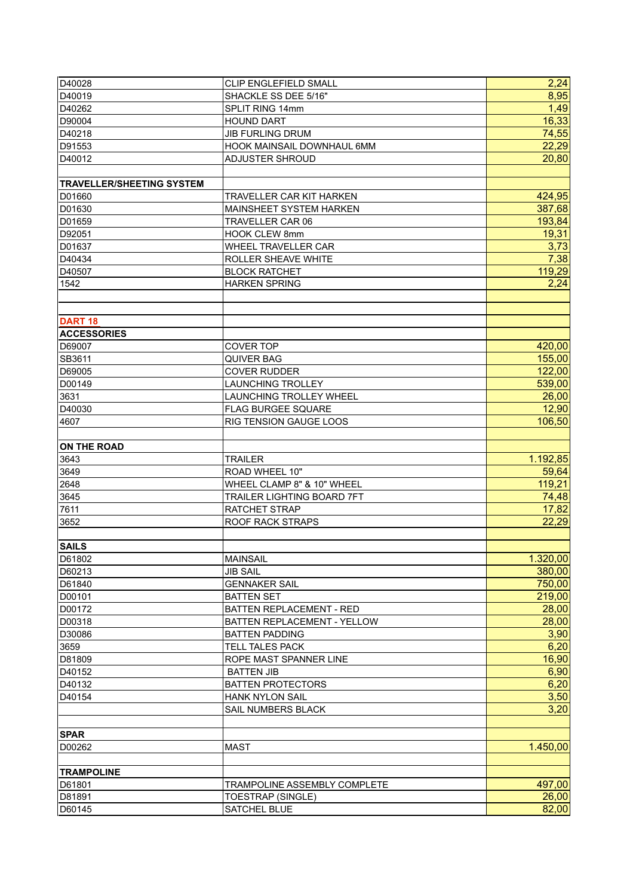| D40028                           | CLIP ENGLEFIELD SMALL        | 2,24     |
|----------------------------------|------------------------------|----------|
| D40019                           | SHACKLE SS DEE 5/16"         | 8,95     |
| D40262                           | SPLIT RING 14mm              | 1,49     |
| D90004                           | <b>HOUND DART</b>            | 16,33    |
| D40218                           | <b>JIB FURLING DRUM</b>      | 74,55    |
| D91553                           | HOOK MAINSAIL DOWNHAUL 6MM   | 22,29    |
| D40012                           | <b>ADJUSTER SHROUD</b>       | 20,80    |
|                                  |                              |          |
| <b>TRAVELLER/SHEETING SYSTEM</b> |                              |          |
| D01660                           | TRAVELLER CAR KIT HARKEN     | 424,95   |
| D01630                           | MAINSHEET SYSTEM HARKEN      | 387,68   |
| D01659                           | TRAVELLER CAR 06             | 193,84   |
| D92051                           | <b>HOOK CLEW 8mm</b>         | 19,31    |
| D01637                           | WHEEL TRAVELLER CAR          | 3,73     |
| D40434                           | ROLLER SHEAVE WHITE          | 7,38     |
| D40507                           | <b>BLOCK RATCHET</b>         | 119,29   |
| 1542                             | <b>HARKEN SPRING</b>         | 2,24     |
|                                  |                              |          |
|                                  |                              |          |
| <b>DART 18</b>                   |                              |          |
| <b>ACCESSORIES</b>               |                              |          |
| D69007                           | <b>COVER TOP</b>             | 420,00   |
| SB3611                           | <b>QUIVER BAG</b>            | 155,00   |
| D69005                           | <b>COVER RUDDER</b>          | 122,00   |
| D00149                           | <b>LAUNCHING TROLLEY</b>     | 539,00   |
| 3631                             | LAUNCHING TROLLEY WHEEL      | 26,00    |
| D40030                           | FLAG BURGEE SQUARE           | 12,90    |
| 4607                             | RIG TENSION GAUGE LOOS       | 106,50   |
|                                  |                              |          |
| <b>ON THE ROAD</b>               |                              |          |
| 3643                             | <b>TRAILER</b>               | 1.192,85 |
| 3649                             | ROAD WHEEL 10"               | 59,64    |
| 2648                             | WHEEL CLAMP 8" & 10" WHEEL   | 119,21   |
| 3645                             | TRAILER LIGHTING BOARD 7FT   | 74,48    |
| 7611                             | RATCHET STRAP                | 17,82    |
| 3652                             | <b>ROOF RACK STRAPS</b>      | 22,29    |
|                                  |                              |          |
| <b>SAILS</b>                     |                              |          |
| D61802                           | <b>MAINSAIL</b>              | 1.320,00 |
| D60213                           | <b>JIB SAIL</b>              | 380,00   |
| D61840                           | <b>GENNAKER SAIL</b>         | 750,00   |
| D00101                           | <b>BATTEN SET</b>            | 219,00   |
| D00172                           | BATTEN REPLACEMENT - RED     | 28,00    |
| D00318                           | BATTEN REPLACEMENT - YELLOW  | 28,00    |
| D30086                           | <b>BATTEN PADDING</b>        | 3,90     |
| 3659                             | TELL TALES PACK              | 6,20     |
| D81809                           | ROPE MAST SPANNER LINE       | 16,90    |
| D <sub>40152</sub>               | <b>BATTEN JIB</b>            | 6,90     |
| D40132                           | <b>BATTEN PROTECTORS</b>     | 6,20     |
| D40154                           | <b>HANK NYLON SAIL</b>       | 3,50     |
|                                  | SAIL NUMBERS BLACK           | 3,20     |
|                                  |                              |          |
| <b>SPAR</b>                      |                              |          |
| D00262                           | <b>MAST</b>                  | 1.450,00 |
|                                  |                              |          |
| <b>TRAMPOLINE</b>                |                              |          |
| D61801                           | TRAMPOLINE ASSEMBLY COMPLETE | 497,00   |
| D81891                           | TOESTRAP (SINGLE)            | 26,00    |
| D60145                           | SATCHEL BLUE                 | 82,00    |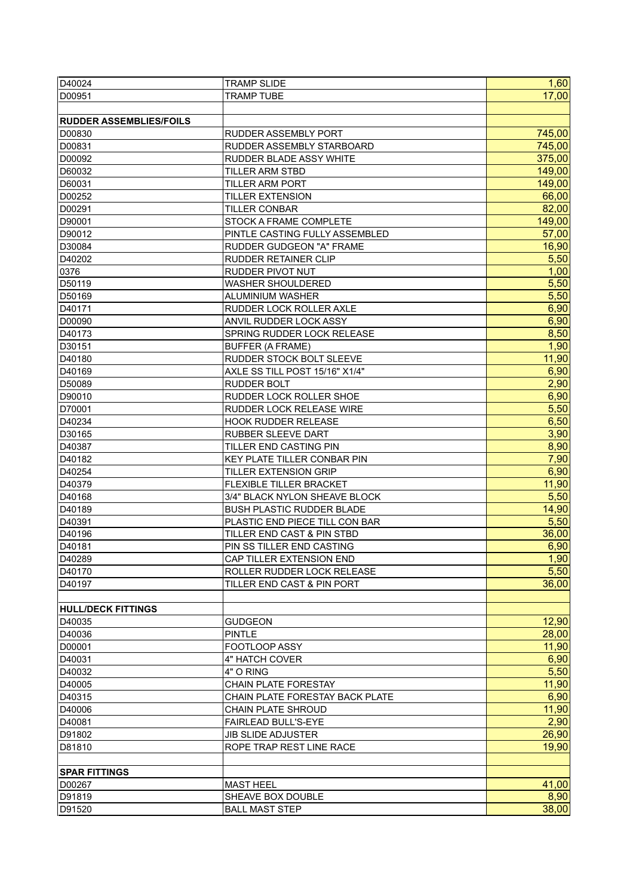| D40024                         | <b>TRAMP SLIDE</b>                                           | 1,60   |
|--------------------------------|--------------------------------------------------------------|--------|
| D00951                         | <b>TRAMP TUBE</b>                                            | 17,00  |
|                                |                                                              |        |
| <b>RUDDER ASSEMBLIES/FOILS</b> |                                                              |        |
| D00830                         | <b>RUDDER ASSEMBLY PORT</b>                                  | 745,00 |
| D00831                         | <b>RUDDER ASSEMBLY STARBOARD</b>                             | 745,00 |
| D00092                         | RUDDER BLADE ASSY WHITE                                      | 375,00 |
| D60032                         | <b>TILLER ARM STBD</b>                                       | 149,00 |
| D60031                         | <b>TILLER ARM PORT</b>                                       | 149,00 |
| D00252                         | <b>TILLER EXTENSION</b>                                      | 66,00  |
| D00291                         | <b>TILLER CONBAR</b>                                         | 82,00  |
|                                |                                                              | 149,00 |
| D90001                         | STOCK A FRAME COMPLETE                                       |        |
| D90012                         | PINTLE CASTING FULLY ASSEMBLED                               | 57,00  |
| D30084                         | RUDDER GUDGEON "A" FRAME                                     | 16,90  |
| D40202                         | <b>RUDDER RETAINER CLIP</b>                                  | 5,50   |
| 0376                           | <b>RUDDER PIVOT NUT</b>                                      | 1,00   |
| D50119                         | <b>WASHER SHOULDERED</b>                                     | 5,50   |
| D50169                         | ALUMINIUM WASHER                                             | 5,50   |
| D40171                         | RUDDER LOCK ROLLER AXLE                                      | 6,90   |
| D00090                         | ANVIL RUDDER LOCK ASSY                                       | 6,90   |
| D40173                         | SPRING RUDDER LOCK RELEASE                                   | 8,50   |
| D30151                         | BUFFER (A FRAME)                                             | 1,90   |
| D40180                         | RUDDER STOCK BOLT SLEEVE                                     | 11,90  |
| D40169                         | AXLE SS TILL POST 15/16" X1/4"                               | 6,90   |
| D50089                         | <b>RUDDER BOLT</b>                                           | 2,90   |
| D90010                         | RUDDER LOCK ROLLER SHOE                                      | 6,90   |
| D70001                         | RUDDER LOCK RELEASE WIRE                                     | 5,50   |
| D40234                         | <b>HOOK RUDDER RELEASE</b>                                   | 6,50   |
| D30165                         | <b>RUBBER SLEEVE DART</b>                                    | 3,90   |
| D40387                         | TILLER END CASTING PIN                                       | 8,90   |
| D40182                         | <b>KEY PLATE TILLER CONBAR PIN</b>                           | 7,90   |
| D40254                         | <b>TILLER EXTENSION GRIP</b>                                 | 6,90   |
| D40379                         | <b>FLEXIBLE TILLER BRACKET</b>                               | 11,90  |
| D40168                         | 3/4" BLACK NYLON SHEAVE BLOCK                                | 5,50   |
| D40189                         | <b>BUSH PLASTIC RUDDER BLADE</b>                             | 14,90  |
| D40391                         |                                                              | 5,50   |
|                                | PLASTIC END PIECE TILL CON BAR<br>TILLER END CAST & PIN STBD | 36,00  |
| D40196                         | PIN SS TILLER END CASTING                                    |        |
| D40181                         |                                                              | 6,90   |
| D40289                         | CAP TILLER EXTENSION END                                     | 1,90   |
| D40170                         | ROLLER RUDDER LOCK RELEASE                                   | 5,50   |
| D40197                         | TILLER END CAST & PIN PORT                                   | 36,00  |
|                                |                                                              |        |
| <b>HULL/DECK FITTINGS</b>      |                                                              |        |
| D40035                         | <b>GUDGEON</b>                                               | 12,90  |
| D40036                         | <b>PINTLE</b>                                                | 28,00  |
| D00001                         | FOOTLOOP ASSY                                                | 11,90  |
| D40031                         | 4" HATCH COVER                                               | 6,90   |
| D40032                         | 4" O RING                                                    | 5,50   |
| D40005                         | <b>CHAIN PLATE FORESTAY</b>                                  | 11,90  |
| D40315                         | CHAIN PLATE FORESTAY BACK PLATE                              | 6,90   |
| D40006                         | <b>CHAIN PLATE SHROUD</b>                                    | 11,90  |
| D40081                         | FAIRLEAD BULL'S-EYE                                          | 2,90   |
| D91802                         | <b>JIB SLIDE ADJUSTER</b>                                    | 26,90  |
| D81810                         | ROPE TRAP REST LINE RACE                                     | 19,90  |
|                                |                                                              |        |
| <b>SPAR FITTINGS</b>           |                                                              |        |
| D00267                         | <b>MAST HEEL</b>                                             | 41,00  |
| D91819                         | SHEAVE BOX DOUBLE                                            | 8,90   |
| D91520                         | <b>BALL MAST STEP</b>                                        | 38,00  |
|                                |                                                              |        |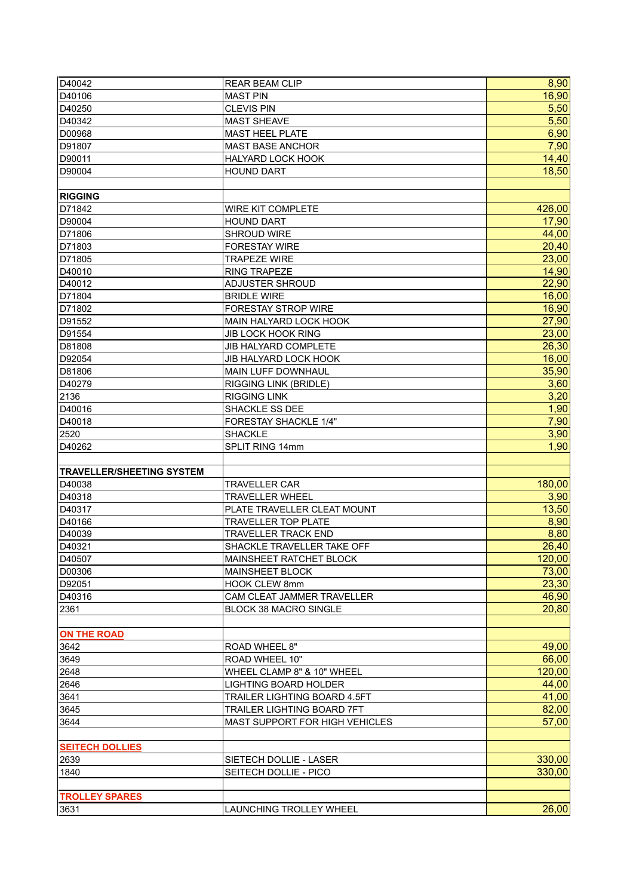| D40042                           | <b>REAR BEAM CLIP</b>          | 8,90   |
|----------------------------------|--------------------------------|--------|
| D40106                           | <b>MAST PIN</b>                | 16,90  |
| D40250                           | <b>CLEVIS PIN</b>              | 5,50   |
| D40342                           | <b>MAST SHEAVE</b>             | 5,50   |
| D00968                           | <b>MAST HEEL PLATE</b>         | 6,90   |
| D91807                           | <b>MAST BASE ANCHOR</b>        | 7,90   |
| D90011                           | HALYARD LOCK HOOK              | 14,40  |
| D90004                           | <b>HOUND DART</b>              | 18,50  |
|                                  |                                |        |
| <b>RIGGING</b>                   |                                |        |
| D71842                           | <b>WIRE KIT COMPLETE</b>       | 426,00 |
| D90004                           | <b>HOUND DART</b>              | 17,90  |
| D71806                           | SHROUD WIRE                    | 44,00  |
| D71803                           | <b>FORESTAY WIRE</b>           | 20,40  |
| D71805                           | <b>TRAPEZE WIRE</b>            | 23,00  |
| D40010                           | <b>RING TRAPEZE</b>            | 14,90  |
| D40012                           | <b>ADJUSTER SHROUD</b>         | 22,90  |
| D71804                           | <b>BRIDLE WIRE</b>             | 16,00  |
| D71802                           | FORESTAY STROP WIRE            | 16,90  |
| D91552                           | MAIN HALYARD LOCK HOOK         | 27,90  |
| D91554                           | JIB LOCK HOOK RING             | 23,00  |
| D81808                           | <b>JIB HALYARD COMPLETE</b>    | 26,30  |
| D92054                           | <b>JIB HALYARD LOCK HOOK</b>   | 16,00  |
| D81806                           | <b>MAIN LUFF DOWNHAUL</b>      | 35,90  |
| D40279                           | <b>RIGGING LINK (BRIDLE)</b>   | 3,60   |
| 2136                             | <b>RIGGING LINK</b>            | 3,20   |
| D40016                           | SHACKLE SS DEE                 | 1,90   |
| D40018                           | FORESTAY SHACKLE 1/4"          | 7,90   |
| 2520                             | <b>SHACKLE</b>                 | 3,90   |
| D40262                           | SPLIT RING 14mm                | 1,90   |
|                                  |                                |        |
| <b>TRAVELLER/SHEETING SYSTEM</b> |                                |        |
| D40038                           | <b>TRAVELLER CAR</b>           | 180,00 |
| D40318                           | <b>TRAVELLER WHEEL</b>         | 3,90   |
| D40317                           | PLATE TRAVELLER CLEAT MOUNT    | 13,50  |
| D40166                           | <b>TRAVELLER TOP PLATE</b>     | 8,90   |
| D40039                           | <b>TRAVELLER TRACK END</b>     | 8,80   |
| D40321                           | SHACKLE TRAVELLER TAKE OFF     | 26,40  |
| D40507                           | MAINSHEET RATCHET BLOCK        | 120,00 |
| D00306                           | MAINSHEET BLOCK                | 73,00  |
| D92051                           | <b>HOOK CLEW 8mm</b>           | 23,30  |
| D40316                           | CAM CLEAT JAMMER TRAVELLER     | 46,90  |
| 2361                             | <b>BLOCK 38 MACRO SINGLE</b>   | 20,80  |
|                                  |                                |        |
| <b>ON THE ROAD</b>               |                                |        |
| 3642                             | ROAD WHEEL 8"                  | 49,00  |
| 3649                             | ROAD WHEEL 10"                 | 66,00  |
| 2648                             | WHEEL CLAMP 8" & 10" WHEEL     | 120,00 |
| 2646                             | <b>LIGHTING BOARD HOLDER</b>   | 44,00  |
| 3641                             | TRAILER LIGHTING BOARD 4.5FT   | 41,00  |
| 3645                             | TRAILER LIGHTING BOARD 7FT     | 82,00  |
| 3644                             | MAST SUPPORT FOR HIGH VEHICLES | 57,00  |
|                                  |                                |        |
| <b>SEITECH DOLLIES</b>           |                                |        |
| 2639                             | SIETECH DOLLIE - LASER         | 330,00 |
| 1840                             | SEITECH DOLLIE - PICO          | 330,00 |
|                                  |                                |        |
| <b>TROLLEY SPARES</b>            |                                |        |
| 3631                             | LAUNCHING TROLLEY WHEEL        | 26,00  |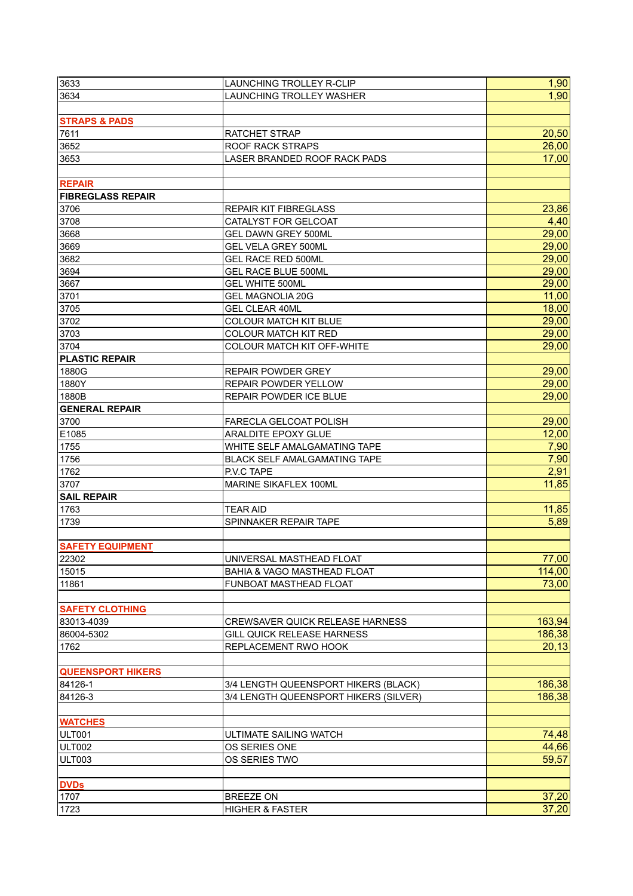| 3633                           | LAUNCHING TROLLEY R-CLIP               | 1,90          |
|--------------------------------|----------------------------------------|---------------|
| 3634                           | <b>LAUNCHING TROLLEY WASHER</b>        | 1,90          |
|                                |                                        |               |
| <b>STRAPS &amp; PADS</b>       |                                        |               |
| 7611                           | <b>RATCHET STRAP</b>                   | 20,50         |
| 3652                           | <b>ROOF RACK STRAPS</b>                | 26,00         |
| 3653                           | LASER BRANDED ROOF RACK PADS           | 17,00         |
|                                |                                        |               |
| <b>REPAIR</b>                  |                                        |               |
| <b>FIBREGLASS REPAIR</b>       |                                        |               |
| 3706                           | REPAIR KIT FIBREGLASS                  | 23,86         |
| 3708                           | CATALYST FOR GELCOAT                   | 4,40          |
| 3668                           | <b>GEL DAWN GREY 500ML</b>             | 29,00         |
| 3669                           | <b>GEL VELA GREY 500ML</b>             | 29,00         |
| 3682                           | <b>GEL RACE RED 500ML</b>              | 29,00         |
| 3694                           | <b>GEL RACE BLUE 500ML</b>             | 29,00         |
| 3667                           | <b>GEL WHITE 500ML</b>                 | 29,00         |
| 3701                           | <b>GEL MAGNOLIA 20G</b>                | 11,00         |
| 3705                           | <b>GEL CLEAR 40ML</b>                  | 18,00         |
| 3702                           | <b>COLOUR MATCH KIT BLUE</b>           | 29,00         |
| 3703                           | <b>COLOUR MATCH KIT RED</b>            | 29,00         |
| 3704                           | <b>COLOUR MATCH KIT OFF-WHITE</b>      | 29,00         |
| <b>PLASTIC REPAIR</b>          |                                        |               |
| 1880G                          | <b>REPAIR POWDER GREY</b>              | 29,00         |
| 1880Y                          | REPAIR POWDER YELLOW                   | 29,00         |
|                                |                                        | 29,00         |
| 1880B<br><b>GENERAL REPAIR</b> | REPAIR POWDER ICE BLUE                 |               |
| 3700                           |                                        | 29,00         |
|                                | FARECLA GELCOAT POLISH                 |               |
| E1085                          | ARALDITE EPOXY GLUE                    | 12,00<br>7,90 |
| 1755                           | WHITE SELF AMALGAMATING TAPE           |               |
| 1756                           | <b>BLACK SELF AMALGAMATING TAPE</b>    | 7,90<br>2,91  |
| 1762                           | P.V.C TAPE                             | 11,85         |
| 3707                           | MARINE SIKAFLEX 100ML                  |               |
| <b>SAIL REPAIR</b>             |                                        |               |
| 1763                           | <b>TEAR AID</b>                        | 11,85         |
| 1739                           | SPINNAKER REPAIR TAPE                  | 5,89          |
| <b>SAFETY EQUIPMENT</b>        |                                        |               |
| 22302                          | UNIVERSAL MASTHEAD FLOAT               | 77,00         |
| 15015                          | <b>BAHIA &amp; VAGO MASTHEAD FLOAT</b> | 114,00        |
| 11861                          | FUNBOAT MASTHEAD FLOAT                 | 73,00         |
|                                |                                        |               |
| <b>SAFETY CLOTHING</b>         |                                        |               |
| 83013-4039                     | <b>CREWSAVER QUICK RELEASE HARNESS</b> | 163,94        |
| 86004-5302                     | <b>GILL QUICK RELEASE HARNESS</b>      | 186,38        |
| 1762                           | <b>REPLACEMENT RWO HOOK</b>            | 20,13         |
|                                |                                        |               |
| <b>QUEENSPORT HIKERS</b>       |                                        |               |
| 84126-1                        | 3/4 LENGTH QUEENSPORT HIKERS (BLACK)   | 186,38        |
| 84126-3                        | 3/4 LENGTH QUEENSPORT HIKERS (SILVER)  | 186,38        |
|                                |                                        |               |
| <b>WATCHES</b>                 |                                        |               |
| ULT001                         | ULTIMATE SAILING WATCH                 | 74,48         |
| <b>ULT002</b>                  | OS SERIES ONE                          | 44,66         |
| ULT003                         | OS SERIES TWO                          | 59,57         |
|                                |                                        |               |
| <b>DVDs</b>                    |                                        |               |
| 1707                           | <b>BREEZE ON</b>                       | 37,20         |
| 1723                           | <b>HIGHER &amp; FASTER</b>             | 37,20         |
|                                |                                        |               |